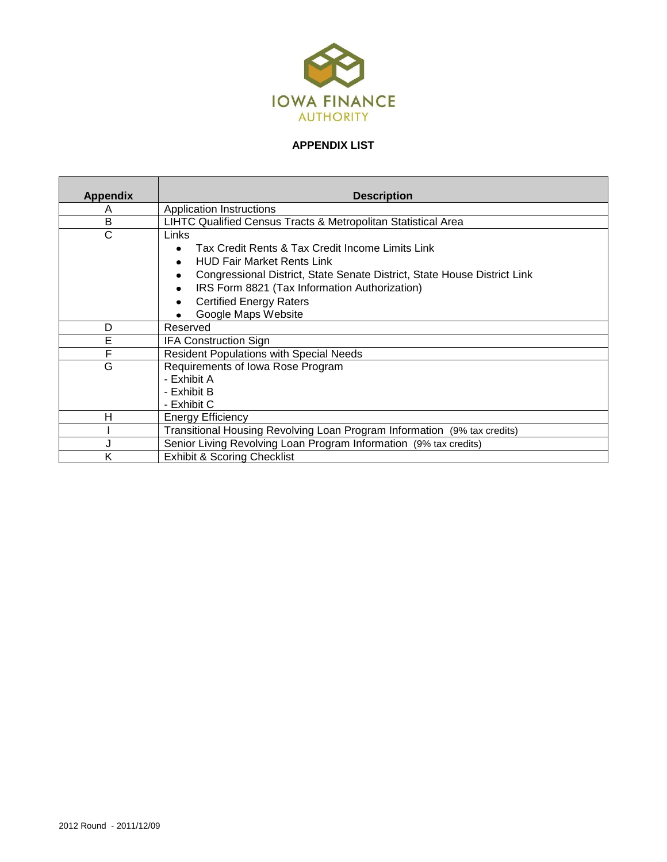

## **APPENDIX LIST**

| <b>Appendix</b> | <b>Description</b>                                                            |
|-----------------|-------------------------------------------------------------------------------|
| A               | <b>Application Instructions</b>                                               |
| B               | LIHTC Qualified Census Tracts & Metropolitan Statistical Area                 |
| C               | Links                                                                         |
|                 | Tax Credit Rents & Tax Credit Income Limits Link<br>$\bullet$                 |
|                 | <b>HUD Fair Market Rents Link</b><br>$\bullet$                                |
|                 | Congressional District, State Senate District, State House District Link<br>٠ |
|                 | IRS Form 8821 (Tax Information Authorization)                                 |
|                 | <b>Certified Energy Raters</b><br>٠                                           |
|                 | Google Maps Website                                                           |
| D               | Reserved                                                                      |
| E               | <b>IFA Construction Sign</b>                                                  |
| F               | <b>Resident Populations with Special Needs</b>                                |
| G               | Requirements of Iowa Rose Program                                             |
|                 | - Exhibit A                                                                   |
|                 | - Exhibit B                                                                   |
|                 | - Exhibit C                                                                   |
| Н               | <b>Energy Efficiency</b>                                                      |
|                 | Transitional Housing Revolving Loan Program Information (9% tax credits)      |
|                 | Senior Living Revolving Loan Program Information (9% tax credits)             |
| K               | <b>Exhibit &amp; Scoring Checklist</b>                                        |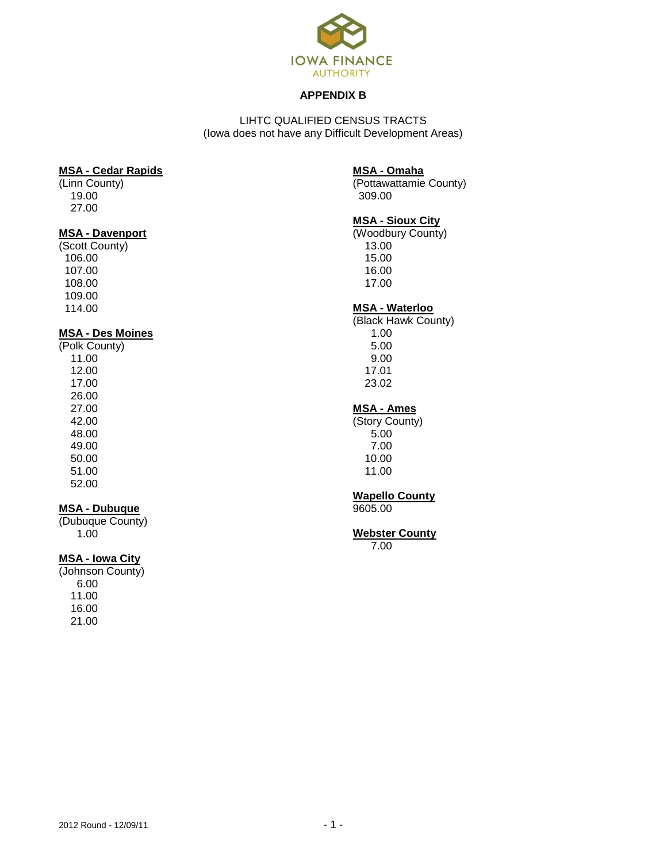

#### **APPENDIX B**

LIHTC QUALIFIED CENSUS TRACTS (Iowa does not have any Difficult Development Areas)

#### **MSA - Cedar Rapids**

(Linn County) 19.00 27.00

### **MSA - Davenport**

(Scott County) 106.00 107.00 108.00 109.00 114.00

#### **MSA - Des Moines**

(Polk County) 11.00 12.00 17.00 26.00 27.00 42.00 48.00 49.00 50.00 51.00 52.00

## **MSA - Dubuque**

(Dubuque County) 1.00

# **MSA - Iowa City**

(Johnson County) 6.00 11.00 16.00 21.00

#### **MSA - Omaha**

(Pottawattamie County) 309.00

## **MSA - Sioux City**

(Woodbury County) 13.00 15.00 16.00 17.00

## **MSA - Waterloo**

(Black Hawk County) 1.00 5.00 9.00 17.01 23.02

#### **MSA - Ames**

(Story County) 5.00 7.00 10.00 11.00

## **Wapello County**

9605.00

# **Webster County**

7.00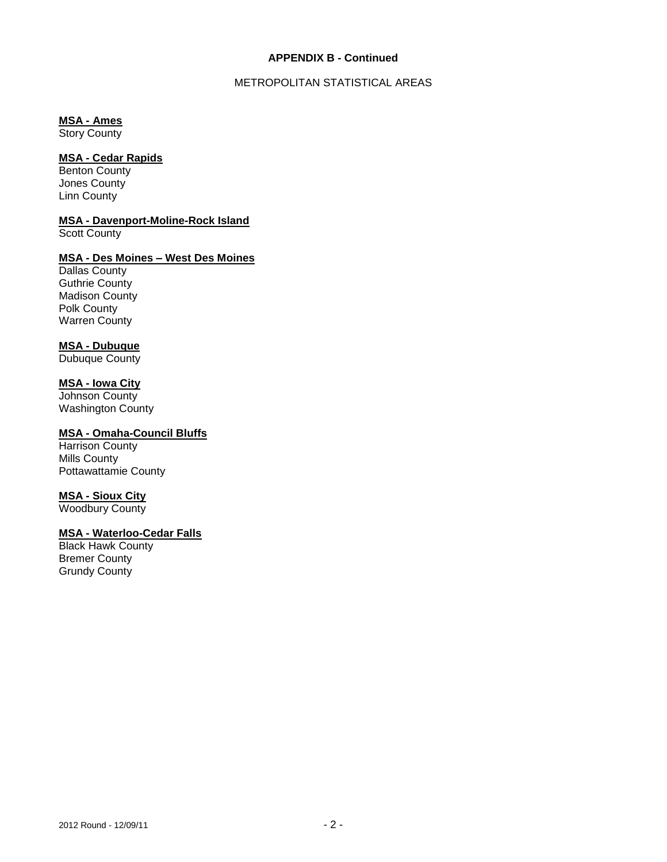#### **APPENDIX B - Continued**

### METROPOLITAN STATISTICAL AREAS

## **MSA - Ames**

Story County

## **MSA - Cedar Rapids**

Benton County Jones County Linn County

## **MSA - Davenport-Moline-Rock Island**

Scott County

## **MSA - Des Moines – West Des Moines**

Dallas County Guthrie County Madison County Polk County Warren County

## **MSA - Dubuque**

Dubuque County

## **MSA - Iowa City**

Johnson County Washington County

## **MSA - Omaha-Council Bluffs**

Harrison County Mills County Pottawattamie County

### **MSA - Sioux City**

Woodbury County

# **MSA - Waterloo-Cedar Falls**

Black Hawk County Bremer County Grundy County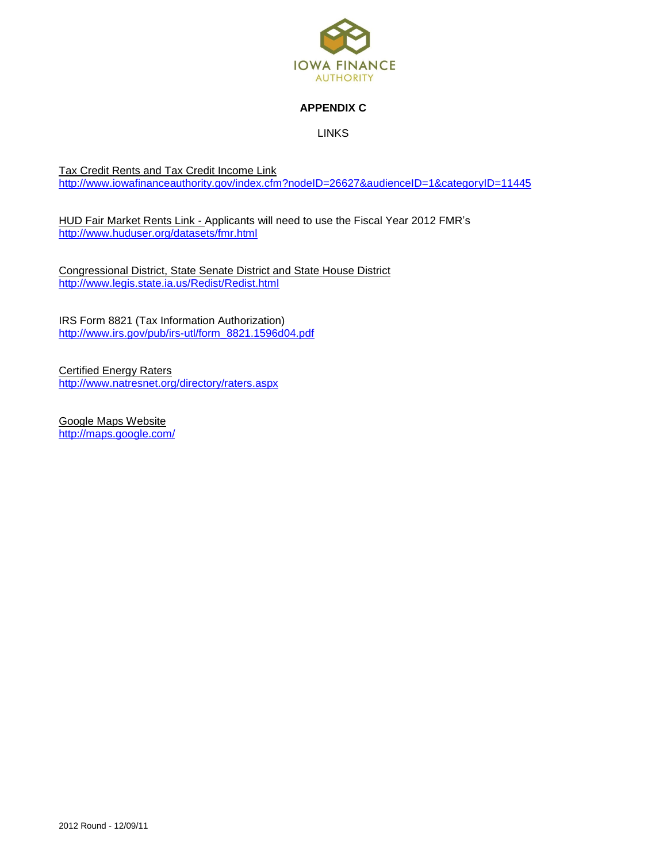

## **APPENDIX C**

LINKS

Tax Credit Rents and Tax Credit Income Link <http://www.iowafinanceauthority.gov/index.cfm?nodeID=26627&audienceID=1&categoryID=11445>

HUD Fair Market Rents Link - Applicants will need to use the Fiscal Year 2012 FMR's <http://www.huduser.org/datasets/fmr.html>

Congressional District, State Senate District and State House District <http://www.legis.state.ia.us/Redist/Redist.html>

IRS Form 8821 (Tax Information Authorization) [http://www.irs.gov/pub/irs-utl/form\\_8821.1596d04.pdf](http://www.irs.gov/pub/irs-utl/form_8821.1596d04.pdf)

Certified Energy Raters <http://www.natresnet.org/directory/raters.aspx>

Google Maps Website <http://maps.google.com/>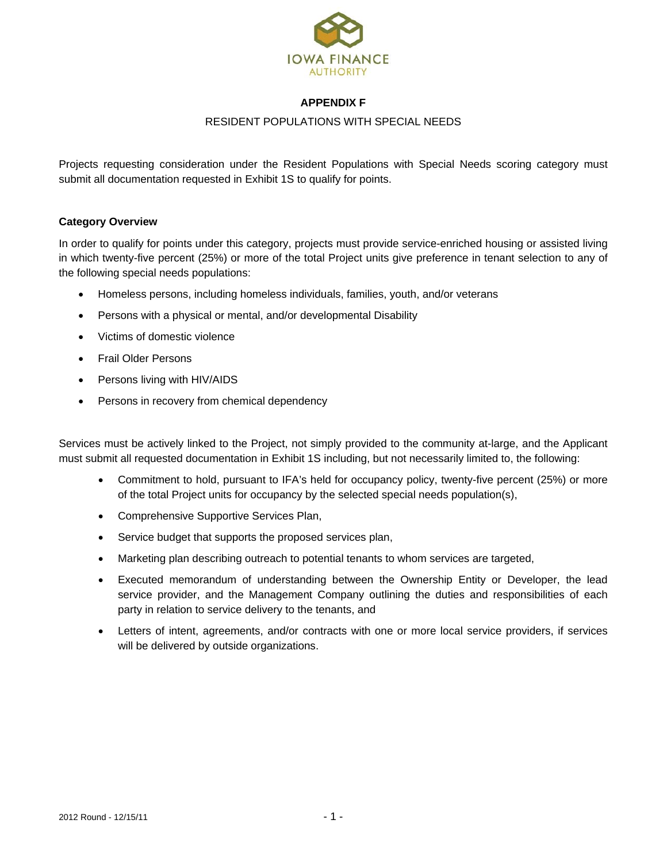

## **APPENDIX F**

### RESIDENT POPULATIONS WITH SPECIAL NEEDS

Projects requesting consideration under the Resident Populations with Special Needs scoring category must submit all documentation requested in Exhibit 1S to qualify for points.

### **Category Overview**

In order to qualify for points under this category, projects must provide service-enriched housing or assisted living in which twenty-five percent (25%) or more of the total Project units give preference in tenant selection to any of the following special needs populations:

- Homeless persons, including homeless individuals, families, youth, and/or veterans
- Persons with a physical or mental, and/or developmental Disability
- Victims of domestic violence
- Frail Older Persons
- Persons living with HIV/AIDS
- Persons in recovery from chemical dependency

Services must be actively linked to the Project, not simply provided to the community at-large, and the Applicant must submit all requested documentation in Exhibit 1S including, but not necessarily limited to, the following:

- Commitment to hold, pursuant to IFA's held for occupancy policy, twenty-five percent (25%) or more of the total Project units for occupancy by the selected special needs population(s),
- Comprehensive Supportive Services Plan,
- Service budget that supports the proposed services plan,
- Marketing plan describing outreach to potential tenants to whom services are targeted,
- Executed memorandum of understanding between the Ownership Entity or Developer, the lead service provider, and the Management Company outlining the duties and responsibilities of each party in relation to service delivery to the tenants, and
- Letters of intent, agreements, and/or contracts with one or more local service providers, if services will be delivered by outside organizations.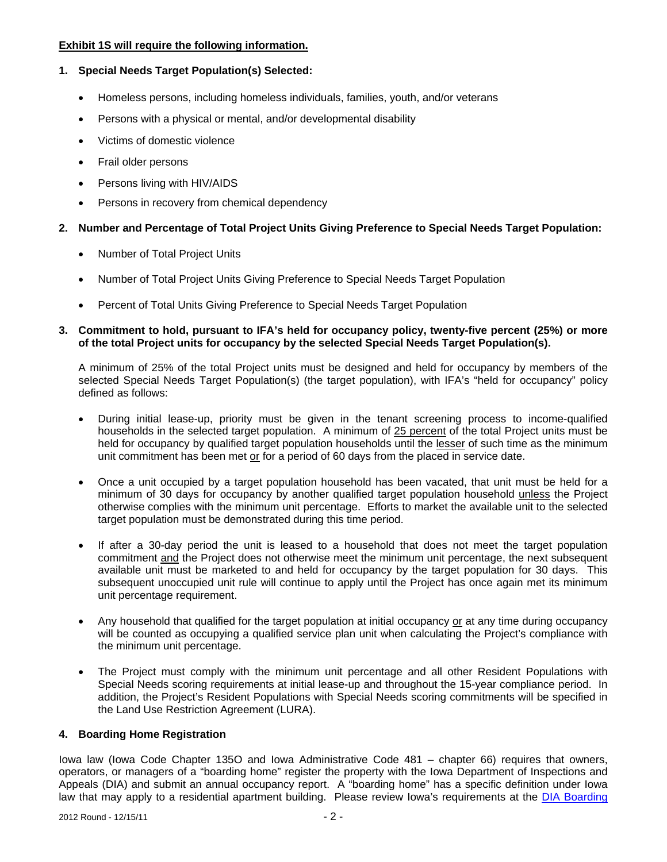## **Exhibit 1S will require the following information.**

# **1. Special Needs Target Population(s) Selected:**

- Homeless persons, including homeless individuals, families, youth, and/or veterans
- Persons with a physical or mental, and/or developmental disability
- Victims of domestic violence
- Frail older persons
- Persons living with HIV/AIDS
- Persons in recovery from chemical dependency

# **2. Number and Percentage of Total Project Units Giving Preference to Special Needs Target Population:**

- Number of Total Project Units
- Number of Total Project Units Giving Preference to Special Needs Target Population
- Percent of Total Units Giving Preference to Special Needs Target Population

## **3. Commitment to hold, pursuant to IFA's held for occupancy policy, twenty-five percent (25%) or more of the total Project units for occupancy by the selected Special Needs Target Population(s).**

A minimum of 25% of the total Project units must be designed and held for occupancy by members of the selected Special Needs Target Population(s) (the target population), with IFA's "held for occupancy" policy defined as follows:

- During initial lease-up, priority must be given in the tenant screening process to income-qualified households in the selected target population. A minimum of 25 percent of the total Project units must be held for occupancy by qualified target population households until the lesser of such time as the minimum unit commitment has been met or for a period of 60 days from the placed in service date.
- Once a unit occupied by a target population household has been vacated, that unit must be held for a minimum of 30 days for occupancy by another qualified target population household unless the Project otherwise complies with the minimum unit percentage. Efforts to market the available unit to the selected target population must be demonstrated during this time period.
- If after a 30-day period the unit is leased to a household that does not meet the target population commitment and the Project does not otherwise meet the minimum unit percentage, the next subsequent available unit must be marketed to and held for occupancy by the target population for 30 days. This subsequent unoccupied unit rule will continue to apply until the Project has once again met its minimum unit percentage requirement.
- Any household that qualified for the target population at initial occupancy or at any time during occupancy will be counted as occupying a qualified service plan unit when calculating the Project's compliance with the minimum unit percentage.
- The Project must comply with the minimum unit percentage and all other Resident Populations with Special Needs scoring requirements at initial lease-up and throughout the 15-year compliance period. In addition, the Project's Resident Populations with Special Needs scoring commitments will be specified in the Land Use Restriction Agreement (LURA).

# **4. Boarding Home Registration**

Iowa law (Iowa Code Chapter 135O and Iowa Administrative Code 481 – chapter 66) requires that owners, operators, or managers of a "boarding home" register the property with the Iowa Department of Inspections and Appeals (DIA) and submit an annual occupancy report. A "boarding home" has a specific definition under Iowa law that may apply to a residential apartment building. Please review Iowa's requirements at the DIA Boarding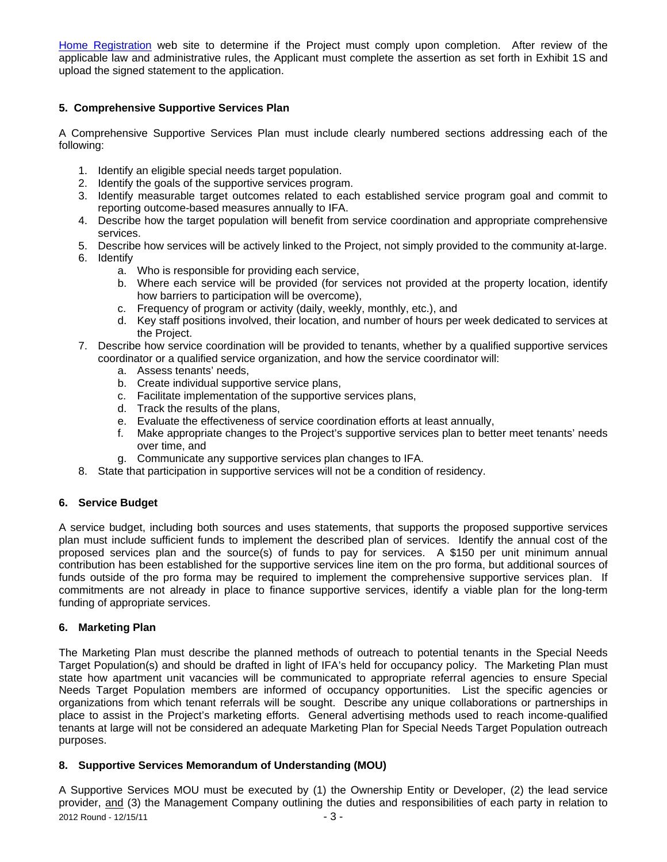Home Registration web site to determine if the Project must comply upon completion. After review of the applicable law and administrative rules, the Applicant must complete the assertion as set forth in Exhibit 1S and upload the signed statement to the application.

## **5. Comprehensive Supportive Services Plan**

A Comprehensive Supportive Services Plan must include clearly numbered sections addressing each of the following:

- 1. Identify an eligible special needs target population.
- 2. Identify the goals of the supportive services program.
- 3. Identify measurable target outcomes related to each established service program goal and commit to reporting outcome-based measures annually to IFA.
- 4. Describe how the target population will benefit from service coordination and appropriate comprehensive services.
- 5. Describe how services will be actively linked to the Project, not simply provided to the community at-large.
- 6. Identify
	- a. Who is responsible for providing each service,
	- b. Where each service will be provided (for services not provided at the property location, identify how barriers to participation will be overcome),
	- c. Frequency of program or activity (daily, weekly, monthly, etc.), and
	- d. Key staff positions involved, their location, and number of hours per week dedicated to services at the Project.
- 7. Describe how service coordination will be provided to tenants, whether by a qualified supportive services coordinator or a qualified service organization, and how the service coordinator will:
	- a. Assess tenants' needs,
	- b. Create individual supportive service plans,
	- c. Facilitate implementation of the supportive services plans,
	- d. Track the results of the plans,
	- e. Evaluate the effectiveness of service coordination efforts at least annually,
	- f. Make appropriate changes to the Project's supportive services plan to better meet tenants' needs over time, and
	- g. Communicate any supportive services plan changes to IFA.
- 8. State that participation in supportive services will not be a condition of residency.

# **6. Service Budget**

A service budget, including both sources and uses statements, that supports the proposed supportive services plan must include sufficient funds to implement the described plan of services. Identify the annual cost of the proposed services plan and the source(s) of funds to pay for services. A \$150 per unit minimum annual contribution has been established for the supportive services line item on the pro forma, but additional sources of funds outside of the pro forma may be required to implement the comprehensive supportive services plan. If commitments are not already in place to finance supportive services, identify a viable plan for the long-term funding of appropriate services.

#### **6. Marketing Plan**

The Marketing Plan must describe the planned methods of outreach to potential tenants in the Special Needs Target Population(s) and should be drafted in light of IFA's held for occupancy policy. The Marketing Plan must state how apartment unit vacancies will be communicated to appropriate referral agencies to ensure Special Needs Target Population members are informed of occupancy opportunities. List the specific agencies or organizations from which tenant referrals will be sought. Describe any unique collaborations or partnerships in place to assist in the Project's marketing efforts. General advertising methods used to reach income-qualified tenants at large will not be considered an adequate Marketing Plan for Special Needs Target Population outreach purposes.

#### **8. Supportive Services Memorandum of Understanding (MOU)**

2012 Round - 12/15/11 - 3 -A Supportive Services MOU must be executed by (1) the Ownership Entity or Developer, (2) the lead service provider, and (3) the Management Company outlining the duties and responsibilities of each party in relation to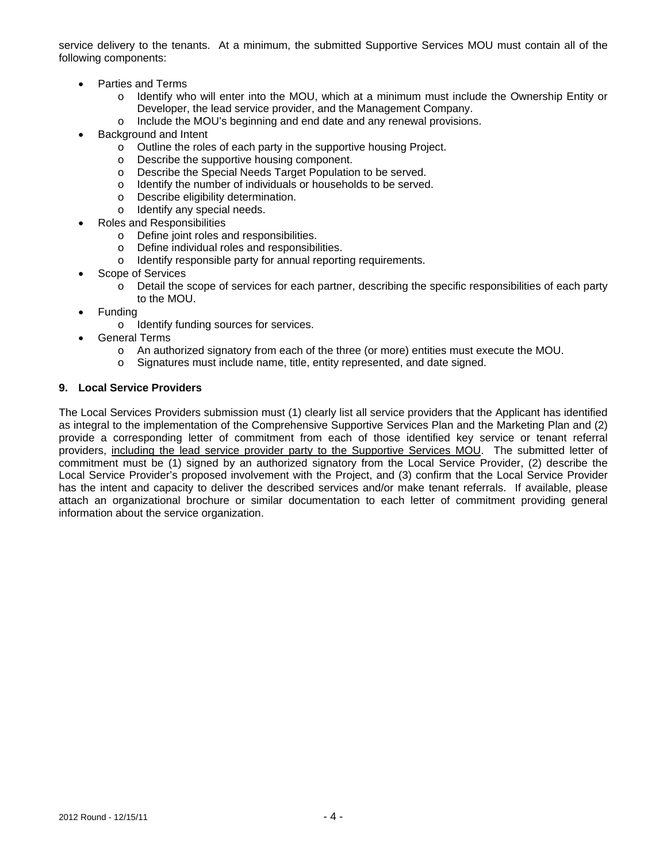service delivery to the tenants. At a minimum, the submitted Supportive Services MOU must contain all of the following components:

- Parties and Terms
	- o Identify who will enter into the MOU, which at a minimum must include the Ownership Entity or Developer, the lead service provider, and the Management Company.
	- o Include the MOU's beginning and end date and any renewal provisions.
- Background and Intent
	- o Outline the roles of each party in the supportive housing Project.<br>  $\circ$  Describe the supportive housing component.
	- Describe the supportive housing component.
	- o Describe the Special Needs Target Population to be served.
	- o Identify the number of individuals or households to be served.
	- o Describe eligibility determination.
	- o Identify any special needs.
- Roles and Responsibilities
	- o Define joint roles and responsibilities.
	- o Define individual roles and responsibilities.
	- o Identify responsible party for annual reporting requirements.
- Scope of Services
	- o Detail the scope of services for each partner, describing the specific responsibilities of each party to the MOU.
- Funding
	- o Identify funding sources for services.
- General Terms
	- o An authorized signatory from each of the three (or more) entities must execute the MOU.
	- o Signatures must include name, title, entity represented, and date signed.

#### **9. Local Service Providers**

The Local Services Providers submission must (1) clearly list all service providers that the Applicant has identified as integral to the implementation of the Comprehensive Supportive Services Plan and the Marketing Plan and (2) provide a corresponding letter of commitment from each of those identified key service or tenant referral providers, including the lead service provider party to the Supportive Services MOU. The submitted letter of commitment must be (1) signed by an authorized signatory from the Local Service Provider, (2) describe the Local Service Provider's proposed involvement with the Project, and (3) confirm that the Local Service Provider has the intent and capacity to deliver the described services and/or make tenant referrals. If available, please attach an organizational brochure or similar documentation to each letter of commitment providing general information about the service organization.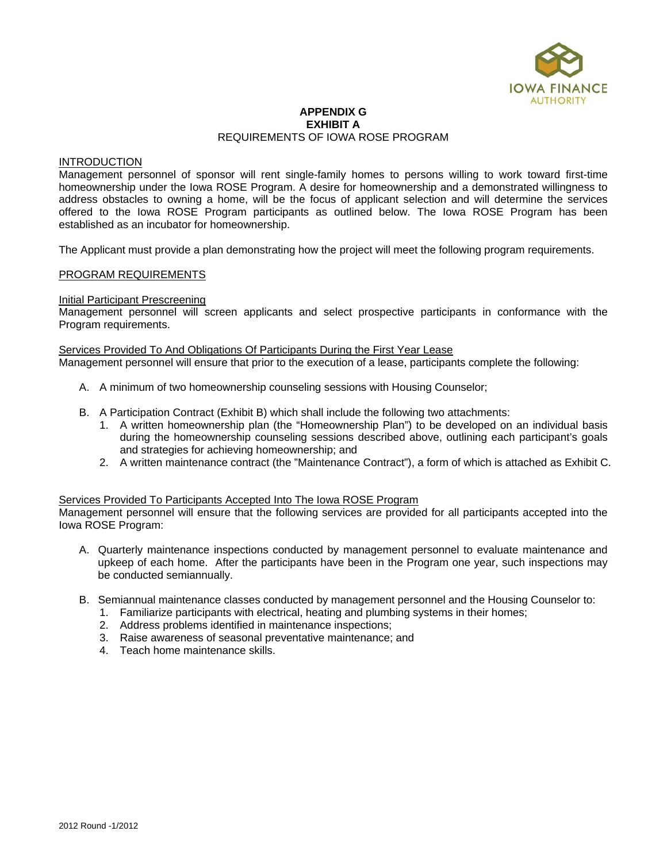

#### **APPENDIX G EXHIBIT A**  REQUIREMENTS OF IOWA ROSE PROGRAM

#### INTRODUCTION

Management personnel of sponsor will rent single-family homes to persons willing to work toward first-time homeownership under the Iowa ROSE Program. A desire for homeownership and a demonstrated willingness to address obstacles to owning a home, will be the focus of applicant selection and will determine the services offered to the Iowa ROSE Program participants as outlined below. The Iowa ROSE Program has been established as an incubator for homeownership.

The Applicant must provide a plan demonstrating how the project will meet the following program requirements.

#### PROGRAM REQUIREMENTS

#### **Initial Participant Prescreening**

Management personnel will screen applicants and select prospective participants in conformance with the Program requirements.

#### Services Provided To And Obligations Of Participants During the First Year Lease

Management personnel will ensure that prior to the execution of a lease, participants complete the following:

- A. A minimum of two homeownership counseling sessions with Housing Counselor;
- B. A Participation Contract (Exhibit B) which shall include the following two attachments:
	- 1. A written homeownership plan (the "Homeownership Plan") to be developed on an individual basis during the homeownership counseling sessions described above, outlining each participant's goals and strategies for achieving homeownership; and
	- 2. A written maintenance contract (the "Maintenance Contract"), a form of which is attached as Exhibit C.

#### Services Provided To Participants Accepted Into The Iowa ROSE Program

Management personnel will ensure that the following services are provided for all participants accepted into the Iowa ROSE Program:

- A. Quarterly maintenance inspections conducted by management personnel to evaluate maintenance and upkeep of each home. After the participants have been in the Program one year, such inspections may be conducted semiannually.
- B. Semiannual maintenance classes conducted by management personnel and the Housing Counselor to:
	- 1. Familiarize participants with electrical, heating and plumbing systems in their homes;
	- 2. Address problems identified in maintenance inspections;
	- 3. Raise awareness of seasonal preventative maintenance; and
	- 4. Teach home maintenance skills.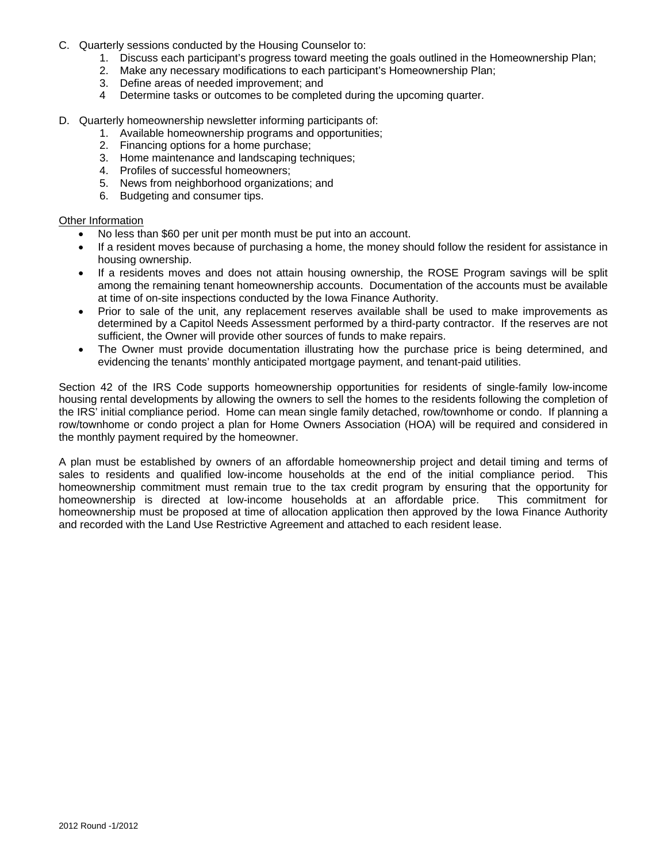- C. Quarterly sessions conducted by the Housing Counselor to:
	- 1. Discuss each participant's progress toward meeting the goals outlined in the Homeownership Plan;
	- 2. Make any necessary modifications to each participant's Homeownership Plan;
	- 3. Define areas of needed improvement; and
	- 4 Determine tasks or outcomes to be completed during the upcoming quarter.
- D. Quarterly homeownership newsletter informing participants of:
	- 1. Available homeownership programs and opportunities;
	- 2. Financing options for a home purchase;
	- 3. Home maintenance and landscaping techniques;
	- 4. Profiles of successful homeowners;
	- 5. News from neighborhood organizations; and
	- 6. Budgeting and consumer tips.

#### Other Information

- No less than \$60 per unit per month must be put into an account.
- If a resident moves because of purchasing a home, the money should follow the resident for assistance in housing ownership.
- If a residents moves and does not attain housing ownership, the ROSE Program savings will be split among the remaining tenant homeownership accounts. Documentation of the accounts must be available at time of on-site inspections conducted by the Iowa Finance Authority.
- Prior to sale of the unit, any replacement reserves available shall be used to make improvements as determined by a Capitol Needs Assessment performed by a third-party contractor. If the reserves are not sufficient, the Owner will provide other sources of funds to make repairs.
- The Owner must provide documentation illustrating how the purchase price is being determined, and evidencing the tenants' monthly anticipated mortgage payment, and tenant-paid utilities.

Section 42 of the IRS Code supports homeownership opportunities for residents of single-family low-income housing rental developments by allowing the owners to sell the homes to the residents following the completion of the IRS' initial compliance period. Home can mean single family detached, row/townhome or condo. If planning a row/townhome or condo project a plan for Home Owners Association (HOA) will be required and considered in the monthly payment required by the homeowner.

A plan must be established by owners of an affordable homeownership project and detail timing and terms of sales to residents and qualified low-income households at the end of the initial compliance period. This homeownership commitment must remain true to the tax credit program by ensuring that the opportunity for homeownership is directed at low-income households at an affordable price. This commitment for homeownership must be proposed at time of allocation application then approved by the Iowa Finance Authority and recorded with the Land Use Restrictive Agreement and attached to each resident lease.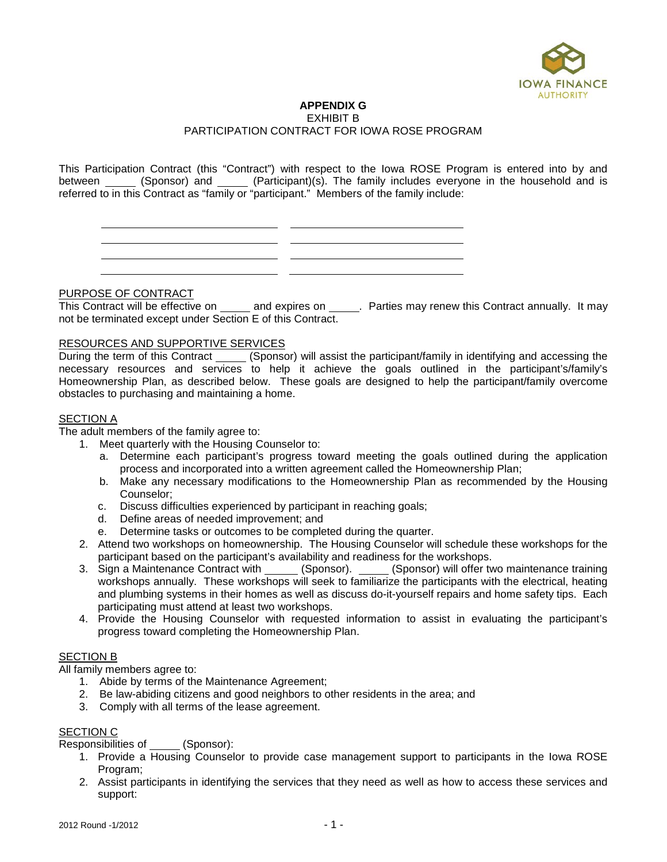

### **APPENDIX G**

EXHIBIT B

#### PARTICIPATION CONTRACT FOR IOWA ROSE PROGRAM

This Participation Contract (this "Contract") with respect to the Iowa ROSE Program is entered into by and between \_\_\_\_\_ (Sponsor) and \_\_\_\_\_ (Participant)(s). The family includes everyone in the household and is referred to in this Contract as "family or "participant." Members of the family include:

PURPOSE OF CONTRACT

TON COL OF CONTINION THEORY OF THIS CONTROL OF CONTROL OF THIS CONTRACT AND THIS CONTRACT ANNUALLY. It may not be terminated except under Section E of this Contract.

#### RESOURCES AND SUPPORTIVE SERVICES

During the term of this Contract \_\_\_\_\_ (Sponsor) will assist the participant/family in identifying and accessing the necessary resources and services to help it achieve the goals outlined in the participant's/family's Homeownership Plan, as described below. These goals are designed to help the participant/family overcome obstacles to purchasing and maintaining a home.

#### SECTION A

The adult members of the family agree to:

- 1. Meet quarterly with the Housing Counselor to:
	- a. Determine each participant's progress toward meeting the goals outlined during the application process and incorporated into a written agreement called the Homeownership Plan;
	- b. Make any necessary modifications to the Homeownership Plan as recommended by the Housing Counselor;
	- c. Discuss difficulties experienced by participant in reaching goals;

<u> 1999 - Johann Barnett, f</u>

- d. Define areas of needed improvement; and
- e. Determine tasks or outcomes to be completed during the quarter.
- 2. Attend two workshops on homeownership. The Housing Counselor will schedule these workshops for the participant based on the participant's availability and readiness for the workshops.
- 3. Sign a Maintenance Contract with \_\_\_\_\_\_ (Sponsor). \_\_\_\_\_ (Sponsor) will offer two maintenance training workshops annually. These workshops will seek to familiarize the participants with the electrical, heating and plumbing systems in their homes as well as discuss do-it-yourself repairs and home safety tips. Each participating must attend at least two workshops.
- 4. Provide the Housing Counselor with requested information to assist in evaluating the participant's progress toward completing the Homeownership Plan.

#### SECTION B

All family members agree to:

- 1. Abide by terms of the Maintenance Agreement;
- 2. Be law-abiding citizens and good neighbors to other residents in the area; and
- 3. Comply with all terms of the lease agreement.

## SECTION C

**Responsibilities of** (Sponsor):

- 1. Provide a Housing Counselor to provide case management support to participants in the Iowa ROSE Program;
- 2. Assist participants in identifying the services that they need as well as how to access these services and support: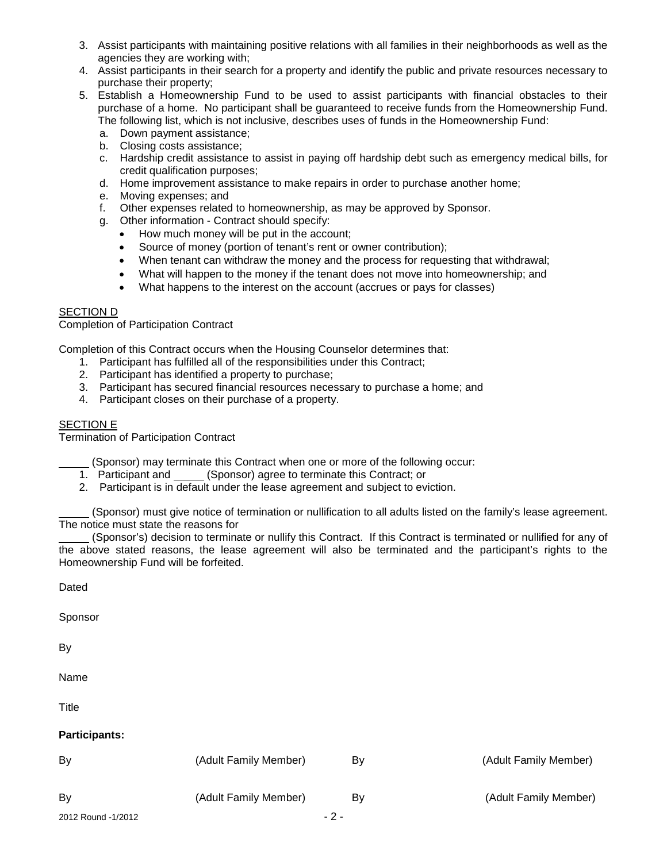- 3. Assist participants with maintaining positive relations with all families in their neighborhoods as well as the agencies they are working with;
- 4. Assist participants in their search for a property and identify the public and private resources necessary to purchase their property;
- 5. Establish a Homeownership Fund to be used to assist participants with financial obstacles to their purchase of a home. No participant shall be guaranteed to receive funds from the Homeownership Fund. The following list, which is not inclusive, describes uses of funds in the Homeownership Fund:
	- a. Down payment assistance;
	- b. Closing costs assistance;
	- c. Hardship credit assistance to assist in paying off hardship debt such as emergency medical bills, for credit qualification purposes;
	- d. Home improvement assistance to make repairs in order to purchase another home;
	- e. Moving expenses; and
	- f. Other expenses related to homeownership, as may be approved by Sponsor.
	- g. Other information Contract should specify:
		- How much money will be put in the account;
		- Source of money (portion of tenant's rent or owner contribution);
		- When tenant can withdraw the money and the process for requesting that withdrawal;
		- What will happen to the money if the tenant does not move into homeownership; and
		- What happens to the interest on the account (accrues or pays for classes)

#### SECTION D

Completion of Participation Contract

Completion of this Contract occurs when the Housing Counselor determines that:

- 1. Participant has fulfilled all of the responsibilities under this Contract;
- 2. Participant has identified a property to purchase;
- 3. Participant has secured financial resources necessary to purchase a home; and
- 4. Participant closes on their purchase of a property.

## SECTION E

Termination of Participation Contract

(Sponsor) may terminate this Contract when one or more of the following occur:

- 1. Participant and (Sponsor) agree to terminate this Contract; or
- 2. Participant is in default under the lease agreement and subject to eviction.

(Sponsor) must give notice of termination or nullification to all adults listed on the family's lease agreement. The notice must state the reasons for

(Sponsor's) decision to terminate or nullify this Contract. If this Contract is terminated or nullified for any of the above stated reasons, the lease agreement will also be terminated and the participant's rights to the Homeownership Fund will be forfeited.

Dated

Sponsor

By

Name

**Title** 

#### **Participants:**

| By                 | (Adult Family Member) | B٧    | (Adult Family Member) |
|--------------------|-----------------------|-------|-----------------------|
| By                 | (Adult Family Member) | B٧    | (Adult Family Member) |
| 2012 Round -1/2012 |                       | $-2-$ |                       |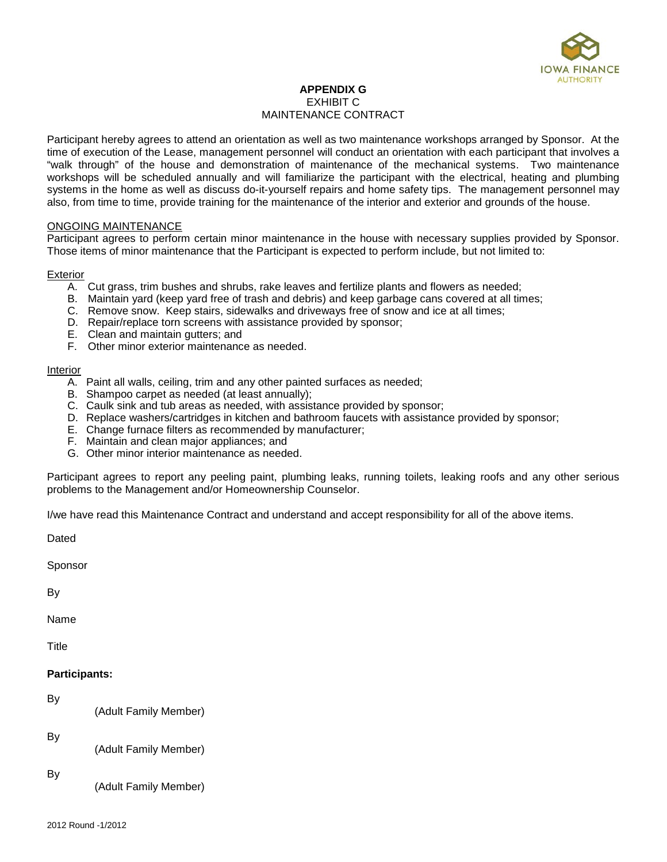

### **APPENDIX G** EXHIBIT C MAINTENANCE CONTRACT

Participant hereby agrees to attend an orientation as well as two maintenance workshops arranged by Sponsor. At the time of execution of the Lease, management personnel will conduct an orientation with each participant that involves a "walk through" of the house and demonstration of maintenance of the mechanical systems. Two maintenance workshops will be scheduled annually and will familiarize the participant with the electrical, heating and plumbing systems in the home as well as discuss do-it-yourself repairs and home safety tips. The management personnel may also, from time to time, provide training for the maintenance of the interior and exterior and grounds of the house.

#### ONGOING MAINTENANCE

Participant agrees to perform certain minor maintenance in the house with necessary supplies provided by Sponsor. Those items of minor maintenance that the Participant is expected to perform include, but not limited to:

#### Exterior

- A. Cut grass, trim bushes and shrubs, rake leaves and fertilize plants and flowers as needed;
- B. Maintain yard (keep yard free of trash and debris) and keep garbage cans covered at all times;
- C. Remove snow. Keep stairs, sidewalks and driveways free of snow and ice at all times;
- D. Repair/replace torn screens with assistance provided by sponsor;
- E. Clean and maintain gutters; and
- F. Other minor exterior maintenance as needed.

#### Interior

- A. Paint all walls, ceiling, trim and any other painted surfaces as needed;
- B. Shampoo carpet as needed (at least annually);
- C. Caulk sink and tub areas as needed, with assistance provided by sponsor;
- D. Replace washers/cartridges in kitchen and bathroom faucets with assistance provided by sponsor;
- E. Change furnace filters as recommended by manufacturer;
- F. Maintain and clean major appliances; and
- G. Other minor interior maintenance as needed.

Participant agrees to report any peeling paint, plumbing leaks, running toilets, leaking roofs and any other serious problems to the Management and/or Homeownership Counselor.

I/we have read this Maintenance Contract and understand and accept responsibility for all of the above items.

**Dated** 

Sponsor

By

Name

Title

#### **Participants:**

By

(Adult Family Member)

By

(Adult Family Member)

By

(Adult Family Member)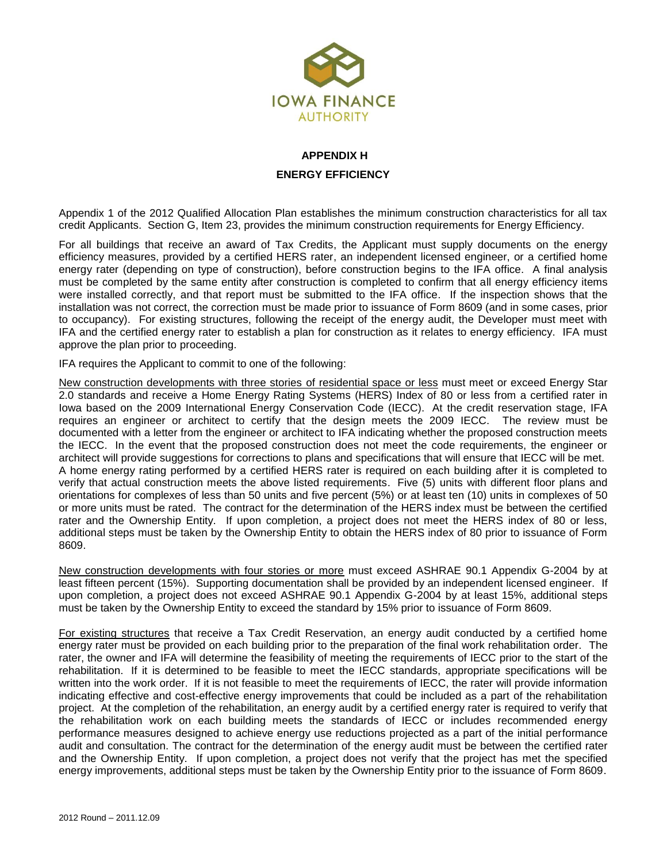

# **APPENDIX H ENERGY EFFICIENCY**

Appendix 1 of the 2012 Qualified Allocation Plan establishes the minimum construction characteristics for all tax credit Applicants. Section G, Item 23, provides the minimum construction requirements for Energy Efficiency.

For all buildings that receive an award of Tax Credits, the Applicant must supply documents on the energy efficiency measures, provided by a certified HERS rater, an independent licensed engineer, or a certified home energy rater (depending on type of construction), before construction begins to the IFA office. A final analysis must be completed by the same entity after construction is completed to confirm that all energy efficiency items were installed correctly, and that report must be submitted to the IFA office. If the inspection shows that the installation was not correct, the correction must be made prior to issuance of Form 8609 (and in some cases, prior to occupancy). For existing structures, following the receipt of the energy audit, the Developer must meet with IFA and the certified energy rater to establish a plan for construction as it relates to energy efficiency. IFA must approve the plan prior to proceeding.

IFA requires the Applicant to commit to one of the following:

New construction developments with three stories of residential space or less must meet or exceed Energy Star 2.0 standards and receive a Home Energy Rating Systems (HERS) Index of 80 or less from a certified rater in Iowa based on the 2009 International Energy Conservation Code (IECC). At the credit reservation stage, IFA requires an engineer or architect to certify that the design meets the 2009 IECC. The review must be documented with a letter from the engineer or architect to IFA indicating whether the proposed construction meets the IECC. In the event that the proposed construction does not meet the code requirements, the engineer or architect will provide suggestions for corrections to plans and specifications that will ensure that IECC will be met. A home energy rating performed by a certified HERS rater is required on each building after it is completed to verify that actual construction meets the above listed requirements. Five (5) units with different floor plans and orientations for complexes of less than 50 units and five percent (5%) or at least ten (10) units in complexes of 50 or more units must be rated. The contract for the determination of the HERS index must be between the certified rater and the Ownership Entity. If upon completion, a project does not meet the HERS index of 80 or less, additional steps must be taken by the Ownership Entity to obtain the HERS index of 80 prior to issuance of Form 8609.

New construction developments with four stories or more must exceed ASHRAE 90.1 Appendix G-2004 by at least fifteen percent (15%). Supporting documentation shall be provided by an independent licensed engineer. If upon completion, a project does not exceed ASHRAE 90.1 Appendix G-2004 by at least 15%, additional steps must be taken by the Ownership Entity to exceed the standard by 15% prior to issuance of Form 8609.

For existing structures that receive a Tax Credit Reservation, an energy audit conducted by a certified home energy rater must be provided on each building prior to the preparation of the final work rehabilitation order. The rater, the owner and IFA will determine the feasibility of meeting the requirements of IECC prior to the start of the rehabilitation. If it is determined to be feasible to meet the IECC standards, appropriate specifications will be written into the work order. If it is not feasible to meet the requirements of IECC, the rater will provide information indicating effective and cost-effective energy improvements that could be included as a part of the rehabilitation project. At the completion of the rehabilitation, an energy audit by a certified energy rater is required to verify that the rehabilitation work on each building meets the standards of IECC or includes recommended energy performance measures designed to achieve energy use reductions projected as a part of the initial performance audit and consultation. The contract for the determination of the energy audit must be between the certified rater and the Ownership Entity. If upon completion, a project does not verify that the project has met the specified energy improvements, additional steps must be taken by the Ownership Entity prior to the issuance of Form 8609.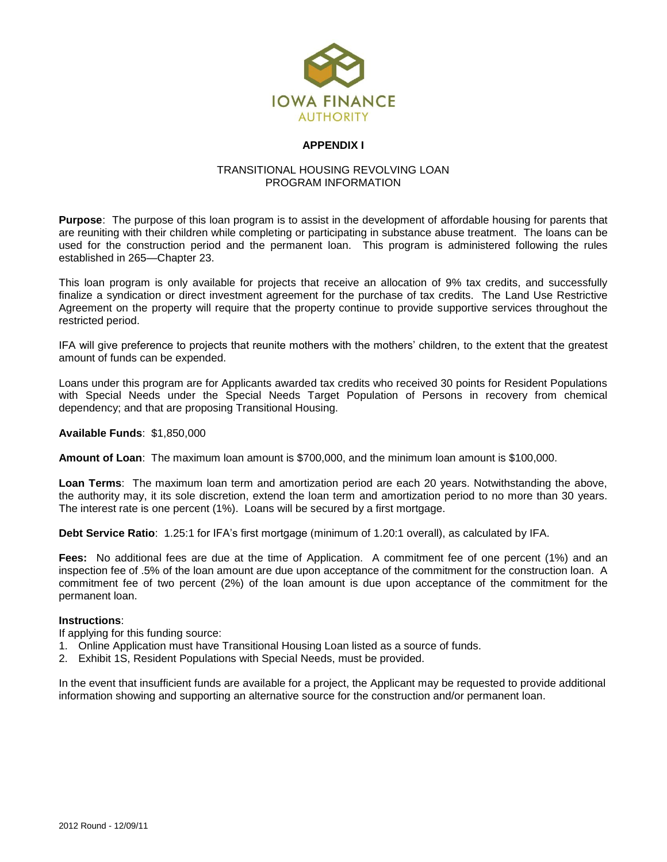

## **APPENDIX I**

### TRANSITIONAL HOUSING REVOLVING LOAN PROGRAM INFORMATION

**Purpose**: The purpose of this loan program is to assist in the development of affordable housing for parents that are reuniting with their children while completing or participating in substance abuse treatment. The loans can be used for the construction period and the permanent loan. This program is administered following the rules established in 265—Chapter 23.

This loan program is only available for projects that receive an allocation of 9% tax credits, and successfully finalize a syndication or direct investment agreement for the purchase of tax credits. The Land Use Restrictive Agreement on the property will require that the property continue to provide supportive services throughout the restricted period.

IFA will give preference to projects that reunite mothers with the mothers' children, to the extent that the greatest amount of funds can be expended.

Loans under this program are for Applicants awarded tax credits who received 30 points for Resident Populations with Special Needs under the Special Needs Target Population of Persons in recovery from chemical dependency; and that are proposing Transitional Housing.

**Available Funds**: \$1,850,000

**Amount of Loan**: The maximum loan amount is \$700,000, and the minimum loan amount is \$100,000.

**Loan Terms**: The maximum loan term and amortization period are each 20 years. Notwithstanding the above, the authority may, it its sole discretion, extend the loan term and amortization period to no more than 30 years. The interest rate is one percent (1%). Loans will be secured by a first mortgage.

**Debt Service Ratio**: 1.25:1 for IFA's first mortgage (minimum of 1.20:1 overall), as calculated by IFA.

**Fees:** No additional fees are due at the time of Application. A commitment fee of one percent (1%) and an inspection fee of .5% of the loan amount are due upon acceptance of the commitment for the construction loan. A commitment fee of two percent (2%) of the loan amount is due upon acceptance of the commitment for the permanent loan.

#### **Instructions**:

If applying for this funding source:

- 1. Online Application must have Transitional Housing Loan listed as a source of funds.
- 2. Exhibit 1S, Resident Populations with Special Needs, must be provided.

In the event that insufficient funds are available for a project, the Applicant may be requested to provide additional information showing and supporting an alternative source for the construction and/or permanent loan.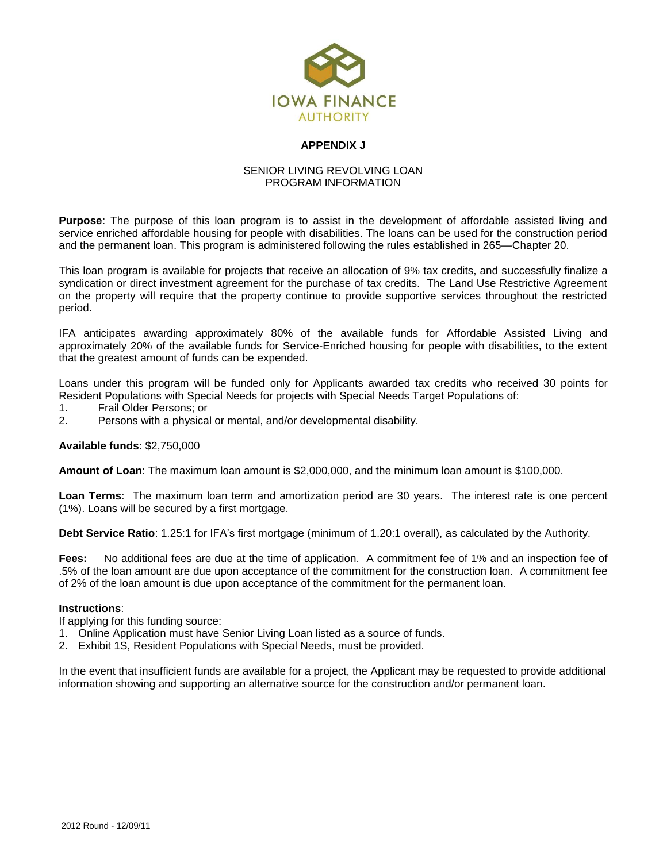

## **APPENDIX J**

### SENIOR LIVING REVOLVING LOAN PROGRAM INFORMATION

**Purpose**: The purpose of this loan program is to assist in the development of affordable assisted living and service enriched affordable housing for people with disabilities. The loans can be used for the construction period and the permanent loan. This program is administered following the rules established in 265—Chapter 20.

This loan program is available for projects that receive an allocation of 9% tax credits, and successfully finalize a syndication or direct investment agreement for the purchase of tax credits. The Land Use Restrictive Agreement on the property will require that the property continue to provide supportive services throughout the restricted period.

IFA anticipates awarding approximately 80% of the available funds for Affordable Assisted Living and approximately 20% of the available funds for Service-Enriched housing for people with disabilities, to the extent that the greatest amount of funds can be expended.

Loans under this program will be funded only for Applicants awarded tax credits who received 30 points for Resident Populations with Special Needs for projects with Special Needs Target Populations of:

- 1. Frail Older Persons; or
- 2. Persons with a physical or mental, and/or developmental disability.

**Available funds**: \$2,750,000

**Amount of Loan**: The maximum loan amount is \$2,000,000, and the minimum loan amount is \$100,000.

**Loan Terms**: The maximum loan term and amortization period are 30 years. The interest rate is one percent (1%). Loans will be secured by a first mortgage.

**Debt Service Ratio**: 1.25:1 for IFA's first mortgage (minimum of 1.20:1 overall), as calculated by the Authority.

**Fees:** No additional fees are due at the time of application. A commitment fee of 1% and an inspection fee of .5% of the loan amount are due upon acceptance of the commitment for the construction loan. A commitment fee of 2% of the loan amount is due upon acceptance of the commitment for the permanent loan.

#### **Instructions**:

If applying for this funding source:

- 1. Online Application must have Senior Living Loan listed as a source of funds.
- 2. Exhibit 1S, Resident Populations with Special Needs, must be provided.

In the event that insufficient funds are available for a project, the Applicant may be requested to provide additional information showing and supporting an alternative source for the construction and/or permanent loan.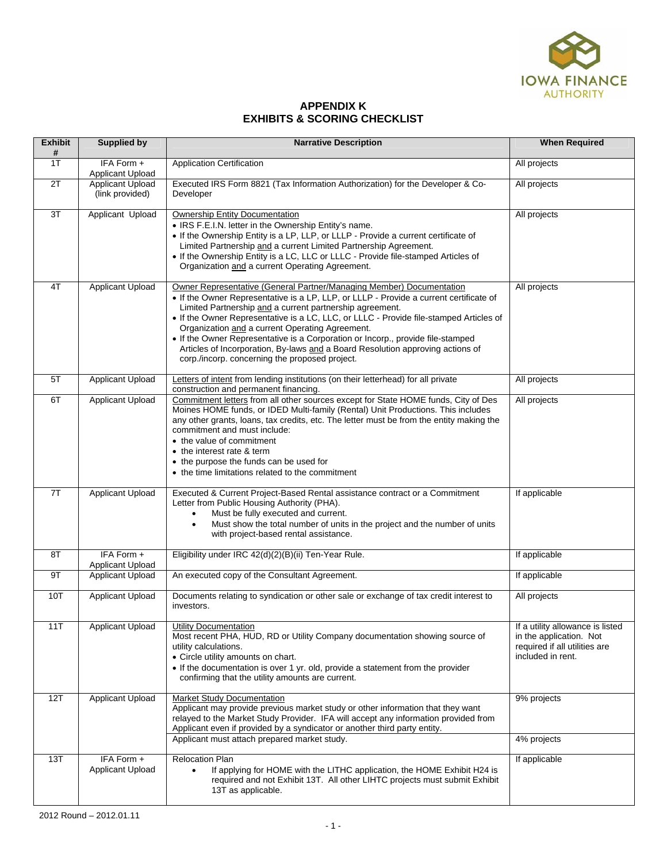

## **APPENDIX K EXHIBITS & SCORING CHECKLIST**

| <b>Exhibit</b><br># | <b>Supplied by</b>                  | <b>Narrative Description</b>                                                                                                                                                                                                                                                                                                                                                                                                                                                                                                                                                                   | <b>When Required</b>                                                                                              |
|---------------------|-------------------------------------|------------------------------------------------------------------------------------------------------------------------------------------------------------------------------------------------------------------------------------------------------------------------------------------------------------------------------------------------------------------------------------------------------------------------------------------------------------------------------------------------------------------------------------------------------------------------------------------------|-------------------------------------------------------------------------------------------------------------------|
| 1T                  | IFA Form +<br>Applicant Upload      | <b>Application Certification</b>                                                                                                                                                                                                                                                                                                                                                                                                                                                                                                                                                               | All projects                                                                                                      |
| $\overline{2T}$     | Applicant Upload<br>(link provided) | Executed IRS Form 8821 (Tax Information Authorization) for the Developer & Co-<br>Developer                                                                                                                                                                                                                                                                                                                                                                                                                                                                                                    | All projects                                                                                                      |
| 3T                  | Applicant Upload                    | <b>Ownership Entity Documentation</b><br>• IRS F.E.I.N. letter in the Ownership Entity's name.<br>• If the Ownership Entity is a LP, LLP, or LLLP - Provide a current certificate of<br>Limited Partnership and a current Limited Partnership Agreement.<br>. If the Ownership Entity is a LC, LLC or LLLC - Provide file-stamped Articles of<br>Organization and a current Operating Agreement.                                                                                                                                                                                               | All projects                                                                                                      |
| 4T                  | Applicant Upload                    | Owner Representative (General Partner/Managing Member) Documentation<br>• If the Owner Representative is a LP, LLP, or LLLP - Provide a current certificate of<br>Limited Partnership and a current partnership agreement.<br>• If the Owner Representative is a LC, LLC, or LLLC - Provide file-stamped Articles of<br>Organization and a current Operating Agreement.<br>• If the Owner Representative is a Corporation or Incorp., provide file-stamped<br>Articles of Incorporation, By-laws and a Board Resolution approving actions of<br>corp./incorp. concerning the proposed project. | All projects                                                                                                      |
| 5T                  | <b>Applicant Upload</b>             | Letters of intent from lending institutions (on their letterhead) for all private<br>construction and permanent financing.                                                                                                                                                                                                                                                                                                                                                                                                                                                                     | All projects                                                                                                      |
| 6T                  | Applicant Upload                    | Commitment letters from all other sources except for State HOME funds, City of Des<br>Moines HOME funds, or IDED Multi-family (Rental) Unit Productions. This includes<br>any other grants, loans, tax credits, etc. The letter must be from the entity making the<br>commitment and must include:<br>• the value of commitment<br>• the interest rate & term<br>• the purpose the funds can be used for<br>• the time limitations related to the commitment                                                                                                                                   | All projects                                                                                                      |
| 7T                  | Applicant Upload                    | Executed & Current Project-Based Rental assistance contract or a Commitment<br>Letter from Public Housing Authority (PHA).<br>Must be fully executed and current.<br>$\bullet$<br>Must show the total number of units in the project and the number of units<br>$\bullet$<br>with project-based rental assistance.                                                                                                                                                                                                                                                                             | If applicable                                                                                                     |
| 8T                  | IFA Form +<br>Applicant Upload      | Eligibility under IRC 42(d)(2)(B)(ii) Ten-Year Rule.                                                                                                                                                                                                                                                                                                                                                                                                                                                                                                                                           | If applicable                                                                                                     |
| 9T                  | <b>Applicant Upload</b>             | An executed copy of the Consultant Agreement.                                                                                                                                                                                                                                                                                                                                                                                                                                                                                                                                                  | If applicable                                                                                                     |
| 10T                 | Applicant Upload                    | Documents relating to syndication or other sale or exchange of tax credit interest to<br>investors.                                                                                                                                                                                                                                                                                                                                                                                                                                                                                            | All projects                                                                                                      |
| 11T                 | Applicant Upload                    | <b>Utility Documentation</b><br>Most recent PHA, HUD, RD or Utility Company documentation showing source of<br>utility calculations.<br>• Circle utility amounts on chart.<br>• If the documentation is over 1 yr. old, provide a statement from the provider<br>confirming that the utility amounts are current.                                                                                                                                                                                                                                                                              | If a utility allowance is listed<br>in the application. Not<br>required if all utilities are<br>included in rent. |
| 12T                 | Applicant Upload                    | <b>Market Study Documentation</b><br>Applicant may provide previous market study or other information that they want<br>relayed to the Market Study Provider. IFA will accept any information provided from<br>Applicant even if provided by a syndicator or another third party entity.<br>Applicant must attach prepared market study.                                                                                                                                                                                                                                                       | 9% projects<br>4% projects                                                                                        |
| 13T                 | IFA Form +                          | <b>Relocation Plan</b>                                                                                                                                                                                                                                                                                                                                                                                                                                                                                                                                                                         | If applicable                                                                                                     |
|                     | Applicant Upload                    | If applying for HOME with the LITHC application, the HOME Exhibit H24 is<br>$\bullet$<br>required and not Exhibit 13T. All other LIHTC projects must submit Exhibit<br>13T as applicable.                                                                                                                                                                                                                                                                                                                                                                                                      |                                                                                                                   |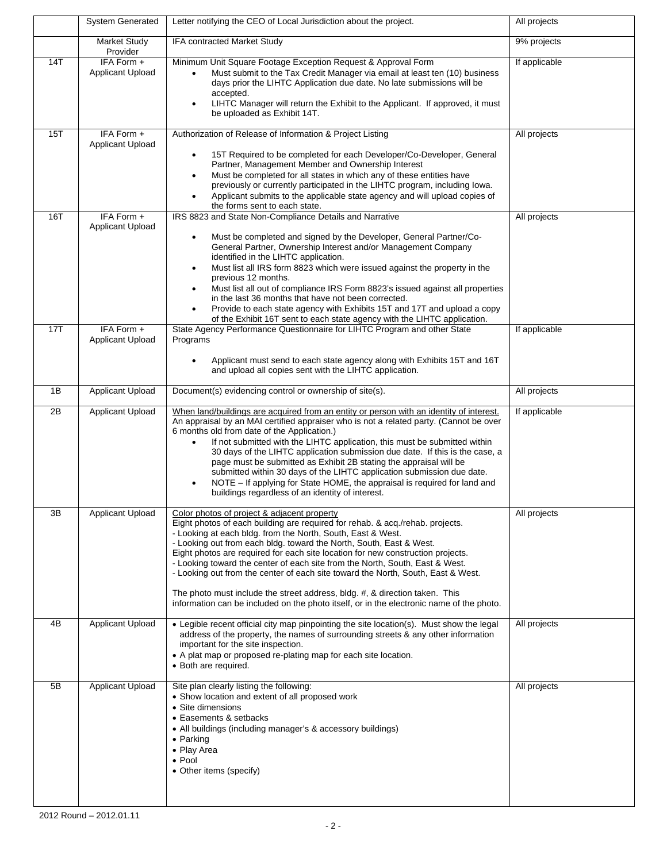|     | <b>System Generated</b>               | Letter notifying the CEO of Local Jurisdiction about the project.                                                                                                                                                                                                                                                                                                                                                                                                                                                                                                                                                                                                                                         | All projects  |
|-----|---------------------------------------|-----------------------------------------------------------------------------------------------------------------------------------------------------------------------------------------------------------------------------------------------------------------------------------------------------------------------------------------------------------------------------------------------------------------------------------------------------------------------------------------------------------------------------------------------------------------------------------------------------------------------------------------------------------------------------------------------------------|---------------|
|     | <b>Market Study</b><br>Provider       | IFA contracted Market Study                                                                                                                                                                                                                                                                                                                                                                                                                                                                                                                                                                                                                                                                               | 9% projects   |
| 14T | IFA Form +<br><b>Applicant Upload</b> | Minimum Unit Square Footage Exception Request & Approval Form<br>Must submit to the Tax Credit Manager via email at least ten (10) business<br>$\bullet$<br>days prior the LIHTC Application due date. No late submissions will be<br>accepted.<br>LIHTC Manager will return the Exhibit to the Applicant. If approved, it must<br>$\bullet$<br>be uploaded as Exhibit 14T.                                                                                                                                                                                                                                                                                                                               | If applicable |
| 15T | IFA Form +<br><b>Applicant Upload</b> | Authorization of Release of Information & Project Listing<br>15T Required to be completed for each Developer/Co-Developer, General<br>$\bullet$<br>Partner, Management Member and Ownership Interest<br>Must be completed for all states in which any of these entities have<br>٠<br>previously or currently participated in the LIHTC program, including lowa.<br>Applicant submits to the applicable state agency and will upload copies of<br>$\bullet$<br>the forms sent to each state.                                                                                                                                                                                                               | All projects  |
| 16T | IFA Form +<br>Applicant Upload        | IRS 8823 and State Non-Compliance Details and Narrative<br>Must be completed and signed by the Developer, General Partner/Co-<br>$\bullet$<br>General Partner, Ownership Interest and/or Management Company<br>identified in the LIHTC application.<br>Must list all IRS form 8823 which were issued against the property in the<br>$\bullet$<br>previous 12 months.<br>Must list all out of compliance IRS Form 8823's issued against all properties<br>$\bullet$<br>in the last 36 months that have not been corrected.<br>Provide to each state agency with Exhibits 15T and 17T and upload a copy<br>$\bullet$<br>of the Exhibit 16T sent to each state agency with the LIHTC application.            | All projects  |
| 17T | IFA Form +<br>Applicant Upload        | State Agency Performance Questionnaire for LIHTC Program and other State<br>Programs<br>Applicant must send to each state agency along with Exhibits 15T and 16T<br>and upload all copies sent with the LIHTC application.                                                                                                                                                                                                                                                                                                                                                                                                                                                                                | If applicable |
| 1B  | <b>Applicant Upload</b>               | Document(s) evidencing control or ownership of site(s).                                                                                                                                                                                                                                                                                                                                                                                                                                                                                                                                                                                                                                                   | All projects  |
| 2B  | Applicant Upload                      | When land/buildings are acquired from an entity or person with an identity of interest.<br>An appraisal by an MAI certified appraiser who is not a related party. (Cannot be over<br>6 months old from date of the Application.)<br>If not submitted with the LIHTC application, this must be submitted within<br>$\bullet$<br>30 days of the LIHTC application submission due date. If this is the case, a<br>page must be submitted as Exhibit 2B stating the appraisal will be<br>submitted within 30 days of the LIHTC application submission due date.<br>NOTE – If applying for State HOME, the appraisal is required for land and<br>$\bullet$<br>buildings regardless of an identity of interest. | If applicable |
| 3B  | <b>Applicant Upload</b>               | Color photos of project & adjacent property<br>Eight photos of each building are required for rehab. & acq./rehab. projects.<br>- Looking at each bldg. from the North, South, East & West.<br>- Looking out from each bldg. toward the North, South, East & West.<br>Eight photos are required for each site location for new construction projects.<br>- Looking toward the center of each site from the North, South, East & West.<br>- Looking out from the center of each site toward the North, South, East & West.<br>The photo must include the street address, bldg. #, & direction taken. This<br>information can be included on the photo itself, or in the electronic name of the photo.      | All projects  |
| 4B  | <b>Applicant Upload</b>               | • Legible recent official city map pinpointing the site location(s). Must show the legal<br>address of the property, the names of surrounding streets & any other information<br>important for the site inspection.<br>• A plat map or proposed re-plating map for each site location.<br>· Both are required.                                                                                                                                                                                                                                                                                                                                                                                            | All projects  |
| 5B  | <b>Applicant Upload</b>               | Site plan clearly listing the following:<br>• Show location and extent of all proposed work<br>• Site dimensions<br>• Easements & setbacks<br>• All buildings (including manager's & accessory buildings)<br>$\bullet$ Parking<br>• Play Area<br>$\bullet$ Pool<br>• Other items (specify)                                                                                                                                                                                                                                                                                                                                                                                                                | All projects  |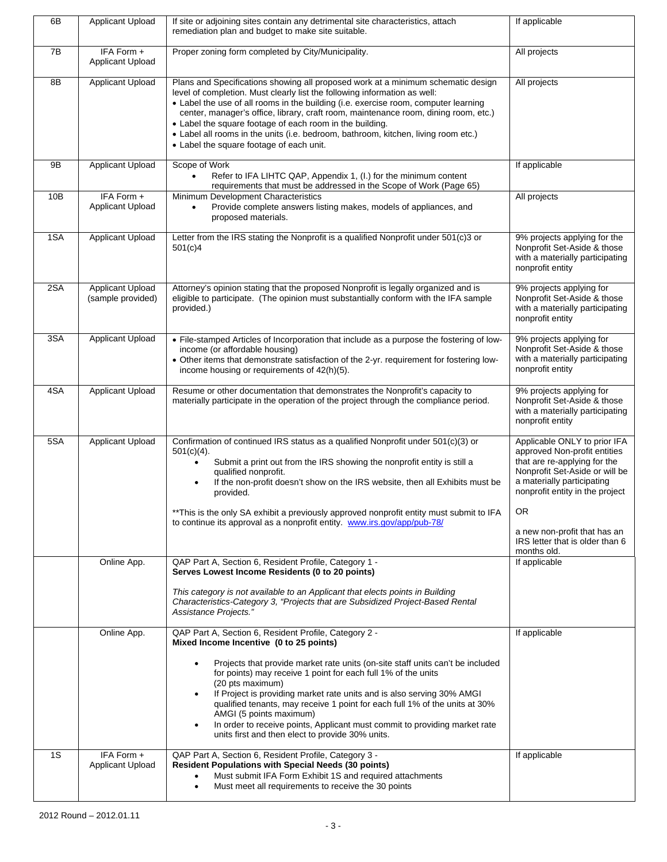| 6B  | <b>Applicant Upload</b>               | If site or adjoining sites contain any detrimental site characteristics, attach<br>remediation plan and budget to make site suitable.                                                                                                                                                                                                                                                                                                                                                                                                                                                                                                                                            | If applicable                                                                                                                                                                                                                                                                            |
|-----|---------------------------------------|----------------------------------------------------------------------------------------------------------------------------------------------------------------------------------------------------------------------------------------------------------------------------------------------------------------------------------------------------------------------------------------------------------------------------------------------------------------------------------------------------------------------------------------------------------------------------------------------------------------------------------------------------------------------------------|------------------------------------------------------------------------------------------------------------------------------------------------------------------------------------------------------------------------------------------------------------------------------------------|
| 7B  | IFA Form +<br><b>Applicant Upload</b> | Proper zoning form completed by City/Municipality.                                                                                                                                                                                                                                                                                                                                                                                                                                                                                                                                                                                                                               | All projects                                                                                                                                                                                                                                                                             |
| 8B  | <b>Applicant Upload</b>               | Plans and Specifications showing all proposed work at a minimum schematic design<br>level of completion. Must clearly list the following information as well:<br>• Label the use of all rooms in the building (i.e. exercise room, computer learning<br>center, manager's office, library, craft room, maintenance room, dining room, etc.)<br>• Label the square footage of each room in the building.<br>• Label all rooms in the units (i.e. bedroom, bathroom, kitchen, living room etc.)<br>• Label the square footage of each unit.                                                                                                                                        | All projects                                                                                                                                                                                                                                                                             |
| 9B  | Applicant Upload                      | Scope of Work<br>Refer to IFA LIHTC QAP, Appendix 1, (I.) for the minimum content<br>$\bullet$<br>requirements that must be addressed in the Scope of Work (Page 65)                                                                                                                                                                                                                                                                                                                                                                                                                                                                                                             | If applicable                                                                                                                                                                                                                                                                            |
| 10B | IFA Form +<br>Applicant Upload        | Minimum Development Characteristics<br>Provide complete answers listing makes, models of appliances, and<br>$\bullet$<br>proposed materials.                                                                                                                                                                                                                                                                                                                                                                                                                                                                                                                                     | All projects                                                                                                                                                                                                                                                                             |
| 1SA | Applicant Upload                      | Letter from the IRS stating the Nonprofit is a qualified Nonprofit under 501(c)3 or<br>501(c)4                                                                                                                                                                                                                                                                                                                                                                                                                                                                                                                                                                                   | 9% projects applying for the<br>Nonprofit Set-Aside & those<br>with a materially participating<br>nonprofit entity                                                                                                                                                                       |
| 2SA | Applicant Upload<br>(sample provided) | Attorney's opinion stating that the proposed Nonprofit is legally organized and is<br>eligible to participate. (The opinion must substantially conform with the IFA sample<br>provided.)                                                                                                                                                                                                                                                                                                                                                                                                                                                                                         | 9% projects applying for<br>Nonprofit Set-Aside & those<br>with a materially participating<br>nonprofit entity                                                                                                                                                                           |
| 3SA | Applicant Upload                      | • File-stamped Articles of Incorporation that include as a purpose the fostering of low-<br>income (or affordable housing)<br>• Other items that demonstrate satisfaction of the 2-yr. requirement for fostering low-<br>income housing or requirements of 42(h)(5).                                                                                                                                                                                                                                                                                                                                                                                                             | 9% projects applying for<br>Nonprofit Set-Aside & those<br>with a materially participating<br>nonprofit entity                                                                                                                                                                           |
| 4SA | Applicant Upload                      | Resume or other documentation that demonstrates the Nonprofit's capacity to<br>materially participate in the operation of the project through the compliance period.                                                                                                                                                                                                                                                                                                                                                                                                                                                                                                             | 9% projects applying for<br>Nonprofit Set-Aside & those<br>with a materially participating<br>nonprofit entity                                                                                                                                                                           |
| 5SA | Applicant Upload                      | Confirmation of continued IRS status as a qualified Nonprofit under 501(c)(3) or<br>$501(c)(4)$ .<br>Submit a print out from the IRS showing the nonprofit entity is still a<br>$\bullet$<br>qualified nonprofit.<br>If the non-profit doesn't show on the IRS website, then all Exhibits must be<br>$\bullet$<br>provided.<br>** This is the only SA exhibit a previously approved nonprofit entity must submit to IFA<br>to continue its approval as a nonprofit entity. www.irs.gov/app/pub-78/                                                                                                                                                                               | Applicable ONLY to prior IFA<br>approved Non-profit entities<br>that are re-applying for the<br>Nonprofit Set-Aside or will be<br>a materially participating<br>nonprofit entity in the project<br>OR.<br>a new non-profit that has an<br>IRS letter that is older than 6<br>months old. |
|     | Online App.                           | QAP Part A, Section 6, Resident Profile, Category 1 -<br>Serves Lowest Income Residents (0 to 20 points)<br>This category is not available to an Applicant that elects points in Building<br>Characteristics-Category 3, "Projects that are Subsidized Project-Based Rental<br>Assistance Projects.'                                                                                                                                                                                                                                                                                                                                                                             | If applicable                                                                                                                                                                                                                                                                            |
| 1S  | Online App.<br>IFA Form +             | QAP Part A, Section 6, Resident Profile, Category 2 -<br>Mixed Income Incentive (0 to 25 points)<br>Projects that provide market rate units (on-site staff units can't be included<br>for points) may receive 1 point for each full 1% of the units<br>(20 pts maximum)<br>If Project is providing market rate units and is also serving 30% AMGI<br>$\bullet$<br>qualified tenants, may receive 1 point for each full 1% of the units at 30%<br>AMGI (5 points maximum)<br>In order to receive points, Applicant must commit to providing market rate<br>$\bullet$<br>units first and then elect to provide 30% units.<br>QAP Part A, Section 6, Resident Profile, Category 3 - | If applicable<br>If applicable                                                                                                                                                                                                                                                           |
|     | <b>Applicant Upload</b>               | <b>Resident Populations with Special Needs (30 points)</b><br>Must submit IFA Form Exhibit 1S and required attachments<br>$\bullet$<br>Must meet all requirements to receive the 30 points<br>$\bullet$                                                                                                                                                                                                                                                                                                                                                                                                                                                                          |                                                                                                                                                                                                                                                                                          |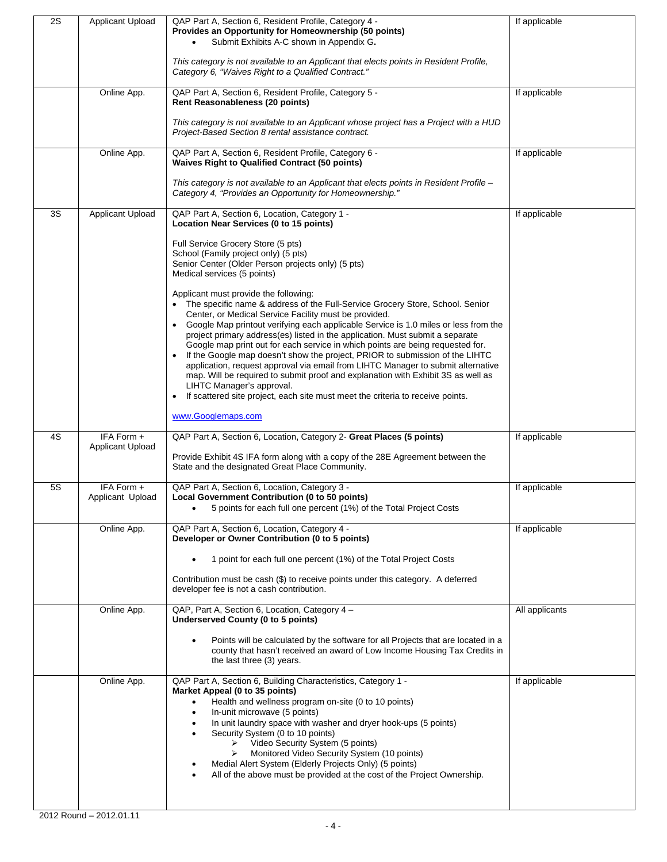| 2S        | <b>Applicant Upload</b> | QAP Part A, Section 6, Resident Profile, Category 4 -                                                                                                              | If applicable  |
|-----------|-------------------------|--------------------------------------------------------------------------------------------------------------------------------------------------------------------|----------------|
|           |                         | Provides an Opportunity for Homeownership (50 points)<br>Submit Exhibits A-C shown in Appendix G.                                                                  |                |
|           |                         |                                                                                                                                                                    |                |
|           |                         | This category is not available to an Applicant that elects points in Resident Profile,                                                                             |                |
|           |                         | Category 6, "Waives Right to a Qualified Contract."                                                                                                                |                |
|           | Online App.             | QAP Part A, Section 6, Resident Profile, Category 5 -                                                                                                              | If applicable  |
|           |                         | Rent Reasonableness (20 points)                                                                                                                                    |                |
|           |                         |                                                                                                                                                                    |                |
|           |                         | This category is not available to an Applicant whose project has a Project with a HUD<br>Project-Based Section 8 rental assistance contract.                       |                |
|           |                         |                                                                                                                                                                    |                |
|           | Online App.             | QAP Part A, Section 6, Resident Profile, Category 6 -                                                                                                              | If applicable  |
|           |                         | <b>Waives Right to Qualified Contract (50 points)</b>                                                                                                              |                |
|           |                         | This category is not available to an Applicant that elects points in Resident Profile -                                                                            |                |
|           |                         | Category 4, "Provides an Opportunity for Homeownership."                                                                                                           |                |
| 3S        | Applicant Upload        | QAP Part A, Section 6, Location, Category 1 -                                                                                                                      | If applicable  |
|           |                         | Location Near Services (0 to 15 points)                                                                                                                            |                |
|           |                         | Full Service Grocery Store (5 pts)                                                                                                                                 |                |
|           |                         | School (Family project only) (5 pts)                                                                                                                               |                |
|           |                         | Senior Center (Older Person projects only) (5 pts)                                                                                                                 |                |
|           |                         | Medical services (5 points)                                                                                                                                        |                |
|           |                         | Applicant must provide the following:                                                                                                                              |                |
|           |                         | • The specific name & address of the Full-Service Grocery Store, School. Senior                                                                                    |                |
|           |                         | Center, or Medical Service Facility must be provided.<br>• Google Map printout verifying each applicable Service is 1.0 miles or less from the                     |                |
|           |                         | project primary address(es) listed in the application. Must submit a separate                                                                                      |                |
|           |                         | Google map print out for each service in which points are being requested for.                                                                                     |                |
|           |                         | • If the Google map doesn't show the project, PRIOR to submission of the LIHTC<br>application, request approval via email from LIHTC Manager to submit alternative |                |
|           |                         | map. Will be required to submit proof and explanation with Exhibit 3S as well as                                                                                   |                |
|           |                         | LIHTC Manager's approval.                                                                                                                                          |                |
|           |                         | • If scattered site project, each site must meet the criteria to receive points.                                                                                   |                |
|           |                         | www.Googlemaps.com                                                                                                                                                 |                |
| 4S        | IFA Form +              | QAP Part A, Section 6, Location, Category 2- Great Places (5 points)                                                                                               | If applicable  |
|           | <b>Applicant Upload</b> |                                                                                                                                                                    |                |
|           |                         | Provide Exhibit 4S IFA form along with a copy of the 28E Agreement between the                                                                                     |                |
|           |                         | State and the designated Great Place Community.                                                                                                                    |                |
| <b>5S</b> | IFA Form +              | QAP Part A, Section 6, Location, Category 3 -                                                                                                                      | If applicable  |
|           | Applicant Upload        | <b>Local Government Contribution (0 to 50 points)</b>                                                                                                              |                |
|           |                         | 5 points for each full one percent (1%) of the Total Project Costs                                                                                                 |                |
|           | Online App.             | QAP Part A, Section 6, Location, Category 4 -                                                                                                                      | If applicable  |
|           |                         | Developer or Owner Contribution (0 to 5 points)                                                                                                                    |                |
|           |                         | 1 point for each full one percent (1%) of the Total Project Costs                                                                                                  |                |
|           |                         |                                                                                                                                                                    |                |
|           |                         | Contribution must be cash (\$) to receive points under this category. A deferred<br>developer fee is not a cash contribution.                                      |                |
|           |                         |                                                                                                                                                                    |                |
|           | Online App.             | QAP, Part A, Section 6, Location, Category 4 -                                                                                                                     | All applicants |
|           |                         | Underserved County (0 to 5 points)                                                                                                                                 |                |
|           |                         | Points will be calculated by the software for all Projects that are located in a                                                                                   |                |
|           |                         | county that hasn't received an award of Low Income Housing Tax Credits in                                                                                          |                |
|           |                         | the last three (3) years.                                                                                                                                          |                |
|           | Online App.             | QAP Part A, Section 6, Building Characteristics, Category 1 -                                                                                                      | If applicable  |
|           |                         | Market Appeal (0 to 35 points)<br>$\bullet$                                                                                                                        |                |
|           |                         | Health and wellness program on-site (0 to 10 points)<br>In-unit microwave (5 points)<br>$\bullet$                                                                  |                |
|           |                         | In unit laundry space with washer and dryer hook-ups (5 points)                                                                                                    |                |
|           |                         | Security System (0 to 10 points)                                                                                                                                   |                |
|           |                         | Video Security System (5 points)<br>➤<br>Monitored Video Security System (10 points)<br>➤                                                                          |                |
|           |                         | Medial Alert System (Elderly Projects Only) (5 points)                                                                                                             |                |
|           |                         |                                                                                                                                                                    |                |
|           |                         | All of the above must be provided at the cost of the Project Ownership.                                                                                            |                |
|           |                         |                                                                                                                                                                    |                |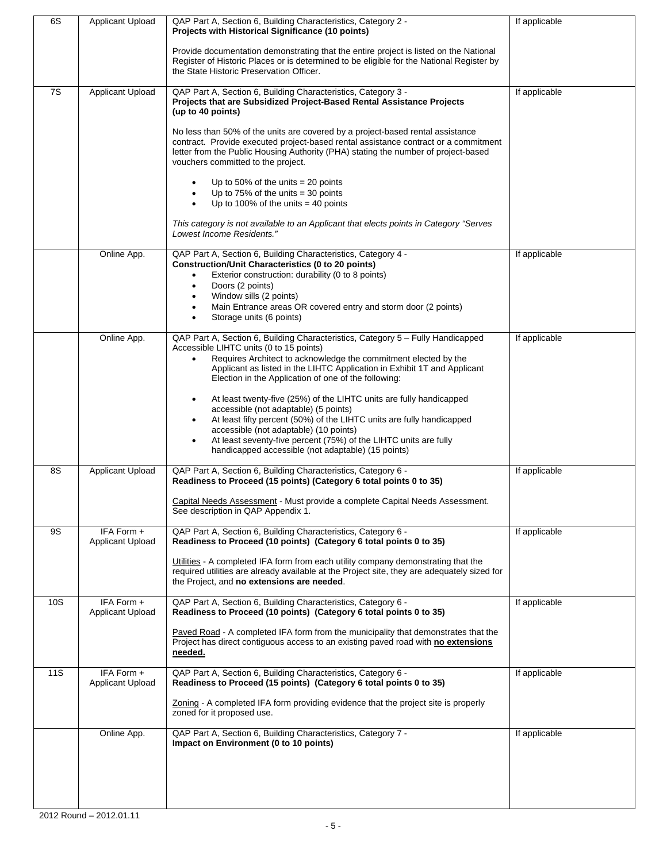| 6S  | Applicant Upload                      | QAP Part A, Section 6, Building Characteristics, Category 2 -<br>Projects with Historical Significance (10 points)<br>Provide documentation demonstrating that the entire project is listed on the National<br>Register of Historic Places or is determined to be eligible for the National Register by<br>the State Historic Preservation Officer.                                                                                                                                                                                                                                                                                                                                                               | If applicable |
|-----|---------------------------------------|-------------------------------------------------------------------------------------------------------------------------------------------------------------------------------------------------------------------------------------------------------------------------------------------------------------------------------------------------------------------------------------------------------------------------------------------------------------------------------------------------------------------------------------------------------------------------------------------------------------------------------------------------------------------------------------------------------------------|---------------|
| 7S  | Applicant Upload                      | QAP Part A, Section 6, Building Characteristics, Category 3 -<br>Projects that are Subsidized Project-Based Rental Assistance Projects<br>(up to 40 points)<br>No less than 50% of the units are covered by a project-based rental assistance<br>contract. Provide executed project-based rental assistance contract or a commitment<br>letter from the Public Housing Authority (PHA) stating the number of project-based<br>vouchers committed to the project.<br>Up to 50% of the units $= 20$ points<br>Up to $75\%$ of the units = 30 points<br>Up to 100% of the units $=$ 40 points<br>This category is not available to an Applicant that elects points in Category "Serves"<br>Lowest Income Residents." | If applicable |
|     | Online App.                           | QAP Part A, Section 6, Building Characteristics, Category 4 -<br><b>Construction/Unit Characteristics (0 to 20 points)</b><br>Exterior construction: durability (0 to 8 points)<br>$\bullet$<br>Doors (2 points)<br>Window sills (2 points)<br>Main Entrance areas OR covered entry and storm door (2 points)<br>Storage units (6 points)                                                                                                                                                                                                                                                                                                                                                                         | If applicable |
|     | Online App.                           | QAP Part A, Section 6, Building Characteristics, Category 5 - Fully Handicapped<br>Accessible LIHTC units (0 to 15 points)<br>Requires Architect to acknowledge the commitment elected by the<br>$\bullet$<br>Applicant as listed in the LIHTC Application in Exhibit 1T and Applicant<br>Election in the Application of one of the following:<br>At least twenty-five (25%) of the LIHTC units are fully handicapped<br>accessible (not adaptable) (5 points)<br>At least fifty percent (50%) of the LIHTC units are fully handicapped<br>accessible (not adaptable) (10 points)<br>At least seventy-five percent (75%) of the LIHTC units are fully<br>handicapped accessible (not adaptable) (15 points)       | If applicable |
| 8S  | Applicant Upload                      | QAP Part A, Section 6, Building Characteristics, Category 6 -<br>Readiness to Proceed (15 points) (Category 6 total points 0 to 35)<br>Capital Needs Assessment - Must provide a complete Capital Needs Assessment.<br>See description in QAP Appendix 1.                                                                                                                                                                                                                                                                                                                                                                                                                                                         | If applicable |
| 9S  | IFA Form +<br>Applicant Upload        | QAP Part A, Section 6, Building Characteristics, Category 6 -<br>Readiness to Proceed (10 points) (Category 6 total points 0 to 35)<br>Utilities - A completed IFA form from each utility company demonstrating that the<br>required utilities are already available at the Project site, they are adequately sized for<br>the Project, and no extensions are needed.                                                                                                                                                                                                                                                                                                                                             | If applicable |
| 10S | IFA Form +<br><b>Applicant Upload</b> | QAP Part A, Section 6, Building Characteristics, Category 6 -<br>Readiness to Proceed (10 points) (Category 6 total points 0 to 35)<br>Paved Road - A completed IFA form from the municipality that demonstrates that the<br>Project has direct contiguous access to an existing paved road with no extensions<br>needed.                                                                                                                                                                                                                                                                                                                                                                                         | If applicable |
| 11S | IFA Form +<br>Applicant Upload        | QAP Part A, Section 6, Building Characteristics, Category 6 -<br>Readiness to Proceed (15 points) (Category 6 total points 0 to 35)<br>Zoning - A completed IFA form providing evidence that the project site is properly<br>zoned for it proposed use.                                                                                                                                                                                                                                                                                                                                                                                                                                                           | If applicable |
|     | Online App.                           | QAP Part A, Section 6, Building Characteristics, Category 7 -<br>Impact on Environment (0 to 10 points)                                                                                                                                                                                                                                                                                                                                                                                                                                                                                                                                                                                                           | If applicable |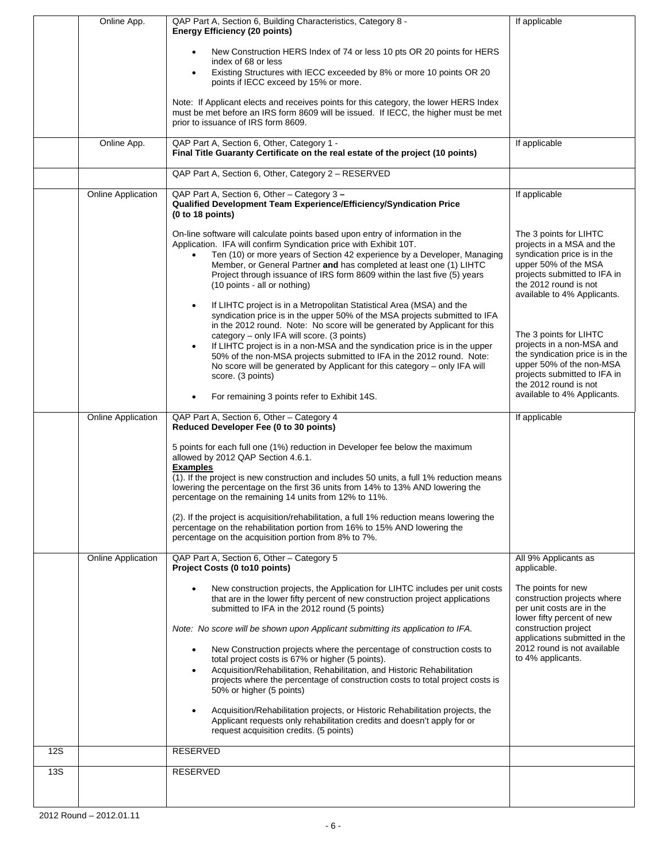|            | Online App.               | QAP Part A, Section 6, Building Characteristics, Category 8 -                                                                                                                                                                                                                                                                                                                                                                                                                                                                                                                          | If applicable                                                                                                                                                                                              |
|------------|---------------------------|----------------------------------------------------------------------------------------------------------------------------------------------------------------------------------------------------------------------------------------------------------------------------------------------------------------------------------------------------------------------------------------------------------------------------------------------------------------------------------------------------------------------------------------------------------------------------------------|------------------------------------------------------------------------------------------------------------------------------------------------------------------------------------------------------------|
|            |                           | <b>Energy Efficiency (20 points)</b>                                                                                                                                                                                                                                                                                                                                                                                                                                                                                                                                                   |                                                                                                                                                                                                            |
|            |                           | New Construction HERS Index of 74 or less 10 pts OR 20 points for HERS                                                                                                                                                                                                                                                                                                                                                                                                                                                                                                                 |                                                                                                                                                                                                            |
|            |                           | index of 68 or less<br>Existing Structures with IECC exceeded by 8% or more 10 points OR 20                                                                                                                                                                                                                                                                                                                                                                                                                                                                                            |                                                                                                                                                                                                            |
|            |                           | points if IECC exceed by 15% or more.                                                                                                                                                                                                                                                                                                                                                                                                                                                                                                                                                  |                                                                                                                                                                                                            |
|            |                           | Note: If Applicant elects and receives points for this category, the lower HERS Index                                                                                                                                                                                                                                                                                                                                                                                                                                                                                                  |                                                                                                                                                                                                            |
|            |                           | must be met before an IRS form 8609 will be issued. If IECC, the higher must be met<br>prior to issuance of IRS form 8609.                                                                                                                                                                                                                                                                                                                                                                                                                                                             |                                                                                                                                                                                                            |
|            |                           |                                                                                                                                                                                                                                                                                                                                                                                                                                                                                                                                                                                        |                                                                                                                                                                                                            |
|            | Online App.               | QAP Part A, Section 6, Other, Category 1 -<br>Final Title Guaranty Certificate on the real estate of the project (10 points)                                                                                                                                                                                                                                                                                                                                                                                                                                                           | If applicable                                                                                                                                                                                              |
|            |                           | QAP Part A, Section 6, Other, Category 2 - RESERVED                                                                                                                                                                                                                                                                                                                                                                                                                                                                                                                                    |                                                                                                                                                                                                            |
|            | Online Application        | QAP Part A, Section 6, Other - Category 3 -<br>Qualified Development Team Experience/Efficiency/Syndication Price<br>(0 to 18 points)                                                                                                                                                                                                                                                                                                                                                                                                                                                  | If applicable                                                                                                                                                                                              |
|            |                           | On-line software will calculate points based upon entry of information in the<br>Application. IFA will confirm Syndication price with Exhibit 10T.<br>Ten (10) or more years of Section 42 experience by a Developer, Managing<br>Member, or General Partner and has completed at least one (1) LIHTC<br>Project through issuance of IRS form 8609 within the last five (5) years<br>(10 points - all or nothing)                                                                                                                                                                      | The 3 points for LIHTC<br>projects in a MSA and the<br>syndication price is in the<br>upper 50% of the MSA<br>projects submitted to IFA in<br>the 2012 round is not<br>available to 4% Applicants.         |
|            |                           | If LIHTC project is in a Metropolitan Statistical Area (MSA) and the<br>syndication price is in the upper 50% of the MSA projects submitted to IFA<br>in the 2012 round. Note: No score will be generated by Applicant for this<br>category - only IFA will score. (3 points)<br>If LIHTC project is in a non-MSA and the syndication price is in the upper<br>50% of the non-MSA projects submitted to IFA in the 2012 round. Note:<br>No score will be generated by Applicant for this category – only IFA will<br>score. (3 points)<br>For remaining 3 points refer to Exhibit 14S. | The 3 points for LIHTC<br>projects in a non-MSA and<br>the syndication price is in the<br>upper 50% of the non-MSA<br>projects submitted to IFA in<br>the 2012 round is not<br>available to 4% Applicants. |
|            |                           |                                                                                                                                                                                                                                                                                                                                                                                                                                                                                                                                                                                        |                                                                                                                                                                                                            |
|            |                           |                                                                                                                                                                                                                                                                                                                                                                                                                                                                                                                                                                                        |                                                                                                                                                                                                            |
|            | <b>Online Application</b> | QAP Part A, Section 6, Other - Category 4<br>Reduced Developer Fee (0 to 30 points)                                                                                                                                                                                                                                                                                                                                                                                                                                                                                                    | If applicable                                                                                                                                                                                              |
|            |                           | 5 points for each full one (1%) reduction in Developer fee below the maximum<br>allowed by 2012 QAP Section 4.6.1.                                                                                                                                                                                                                                                                                                                                                                                                                                                                     |                                                                                                                                                                                                            |
|            |                           | <b>Examples</b><br>(1). If the project is new construction and includes 50 units, a full 1% reduction means<br>lowering the percentage on the first 36 units from 14% to 13% AND lowering the<br>percentage on the remaining 14 units from 12% to 11%.                                                                                                                                                                                                                                                                                                                                 |                                                                                                                                                                                                            |
|            |                           | (2). If the project is acquisition/rehabilitation, a full 1% reduction means lowering the<br>percentage on the rehabilitation portion from 16% to 15% AND lowering the<br>percentage on the acquisition portion from 8% to 7%.                                                                                                                                                                                                                                                                                                                                                         |                                                                                                                                                                                                            |
|            | <b>Online Application</b> | QAP Part A, Section 6, Other - Category 5<br>Project Costs (0 to10 points)                                                                                                                                                                                                                                                                                                                                                                                                                                                                                                             | All 9% Applicants as<br>applicable.                                                                                                                                                                        |
|            |                           | New construction projects, the Application for LIHTC includes per unit costs<br>that are in the lower fifty percent of new construction project applications<br>submitted to IFA in the 2012 round (5 points)                                                                                                                                                                                                                                                                                                                                                                          | The points for new<br>construction projects where<br>per unit costs are in the                                                                                                                             |
|            |                           | Note: No score will be shown upon Applicant submitting its application to IFA.                                                                                                                                                                                                                                                                                                                                                                                                                                                                                                         | lower fifty percent of new<br>construction project<br>applications submitted in the                                                                                                                        |
|            |                           | New Construction projects where the percentage of construction costs to<br>total project costs is 67% or higher (5 points).                                                                                                                                                                                                                                                                                                                                                                                                                                                            | 2012 round is not available<br>to 4% applicants.                                                                                                                                                           |
|            |                           | Acquisition/Rehabilitation, Rehabilitation, and Historic Rehabilitation<br>projects where the percentage of construction costs to total project costs is<br>50% or higher (5 points)                                                                                                                                                                                                                                                                                                                                                                                                   |                                                                                                                                                                                                            |
|            |                           | Acquisition/Rehabilitation projects, or Historic Rehabilitation projects, the<br>Applicant requests only rehabilitation credits and doesn't apply for or<br>request acquisition credits. (5 points)                                                                                                                                                                                                                                                                                                                                                                                    |                                                                                                                                                                                                            |
| <b>12S</b> |                           | RESERVED                                                                                                                                                                                                                                                                                                                                                                                                                                                                                                                                                                               |                                                                                                                                                                                                            |
| 13S        |                           | <b>RESERVED</b>                                                                                                                                                                                                                                                                                                                                                                                                                                                                                                                                                                        |                                                                                                                                                                                                            |
|            |                           |                                                                                                                                                                                                                                                                                                                                                                                                                                                                                                                                                                                        |                                                                                                                                                                                                            |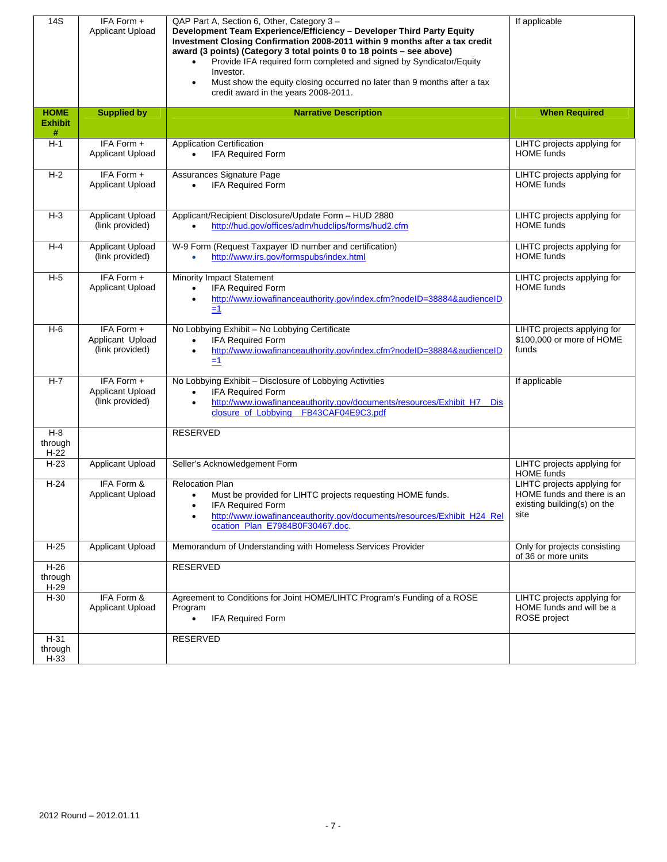| 14S                                | IFA Form +<br>Applicant Upload                    | QAP Part A, Section 6, Other, Category 3 -<br>Development Team Experience/Efficiency - Developer Third Party Equity<br>Investment Closing Confirmation 2008-2011 within 9 months after a tax credit<br>award (3 points) (Category 3 total points 0 to 18 points - see above)<br>Provide IFA required form completed and signed by Syndicator/Equity<br>Investor.<br>Must show the equity closing occurred no later than 9 months after a tax<br>credit award in the years 2008-2011. | If applicable                                                                                    |
|------------------------------------|---------------------------------------------------|--------------------------------------------------------------------------------------------------------------------------------------------------------------------------------------------------------------------------------------------------------------------------------------------------------------------------------------------------------------------------------------------------------------------------------------------------------------------------------------|--------------------------------------------------------------------------------------------------|
| <b>HOME</b><br><b>Exhibit</b><br># | <b>Supplied by</b>                                | <b>Narrative Description</b>                                                                                                                                                                                                                                                                                                                                                                                                                                                         | <b>When Required</b>                                                                             |
| $H-1$                              | IFA Form +<br>Applicant Upload                    | Application Certification<br><b>IFA Required Form</b><br>$\bullet$                                                                                                                                                                                                                                                                                                                                                                                                                   | LIHTC projects applying for<br><b>HOME</b> funds                                                 |
| $H-2$                              | IFA Form +<br>Applicant Upload                    | Assurances Signature Page<br>IFA Required Form<br>$\bullet$                                                                                                                                                                                                                                                                                                                                                                                                                          | LIHTC projects applying for<br><b>HOME</b> funds                                                 |
| $H-3$                              | Applicant Upload<br>(link provided)               | Applicant/Recipient Disclosure/Update Form - HUD 2880<br>http://hud.gov/offices/adm/hudclips/forms/hud2.cfm                                                                                                                                                                                                                                                                                                                                                                          | LIHTC projects applying for<br><b>HOME</b> funds                                                 |
| H-4                                | Applicant Upload<br>(link provided)               | W-9 Form (Request Taxpayer ID number and certification)<br>http://www.irs.gov/formspubs/index.html<br>$\bullet$                                                                                                                                                                                                                                                                                                                                                                      | LIHTC projects applying for<br><b>HOME</b> funds                                                 |
| $H-5$                              | IFA Form +<br>Applicant Upload                    | <b>Minority Impact Statement</b><br>IFA Required Form<br>$\bullet$<br>http://www.iowafinanceauthority.gov/index.cfm?nodeID=38884&audienceID<br>$=1$                                                                                                                                                                                                                                                                                                                                  | LIHTC projects applying for<br><b>HOME</b> funds                                                 |
| $H-6$                              | IFA Form +<br>Applicant Upload<br>(link provided) | No Lobbying Exhibit - No Lobbying Certificate<br>IFA Required Form<br>$\bullet$<br>http://www.iowafinanceauthority.gov/index.cfm?nodeID=38884&audienceID<br>$=1$                                                                                                                                                                                                                                                                                                                     | LIHTC projects applying for<br>\$100,000 or more of HOME<br>funds                                |
| $H - 7$                            | IFA Form +<br>Applicant Upload<br>(link provided) | No Lobbying Exhibit - Disclosure of Lobbying Activities<br>IFA Required Form<br>$\bullet$<br>http://www.iowafinanceauthority.gov/documents/resources/Exhibit_H7__Dis<br>$\bullet$<br>closure of Lobbying FB43CAF04E9C3.pdf                                                                                                                                                                                                                                                           | If applicable                                                                                    |
| $H-8$<br>through<br>$H-22$         |                                                   | <b>RESERVED</b>                                                                                                                                                                                                                                                                                                                                                                                                                                                                      |                                                                                                  |
| $H-23$                             | Applicant Upload                                  | Seller's Acknowledgement Form                                                                                                                                                                                                                                                                                                                                                                                                                                                        | LIHTC projects applying for<br><b>HOME</b> funds                                                 |
| $H-24$                             | IFA Form &<br><b>Applicant Upload</b>             | <b>Relocation Plan</b><br>Must be provided for LIHTC projects requesting HOME funds.<br>IFA Required Form<br>http://www.iowafinanceauthority.gov/documents/resources/Exhibit_H24_Rel<br>ocation_Plan_E7984B0F30467.doc                                                                                                                                                                                                                                                               | LIHTC projects applying for<br>HOME funds and there is an<br>existing building(s) on the<br>site |
| $H-25$                             | Applicant Upload                                  | Memorandum of Understanding with Homeless Services Provider                                                                                                                                                                                                                                                                                                                                                                                                                          | Only for projects consisting<br>of 36 or more units                                              |
| $H-26$<br>through<br>$H-29$        |                                                   | <b>RESERVED</b>                                                                                                                                                                                                                                                                                                                                                                                                                                                                      |                                                                                                  |
| $H-30$                             | IFA Form &<br>Applicant Upload                    | Agreement to Conditions for Joint HOME/LIHTC Program's Funding of a ROSE<br>Program<br><b>IFA Required Form</b><br>$\bullet$                                                                                                                                                                                                                                                                                                                                                         | LIHTC projects applying for<br>HOME funds and will be a<br>ROSE project                          |
| $H-31$<br>through<br>$H-33$        |                                                   | RESERVED                                                                                                                                                                                                                                                                                                                                                                                                                                                                             |                                                                                                  |